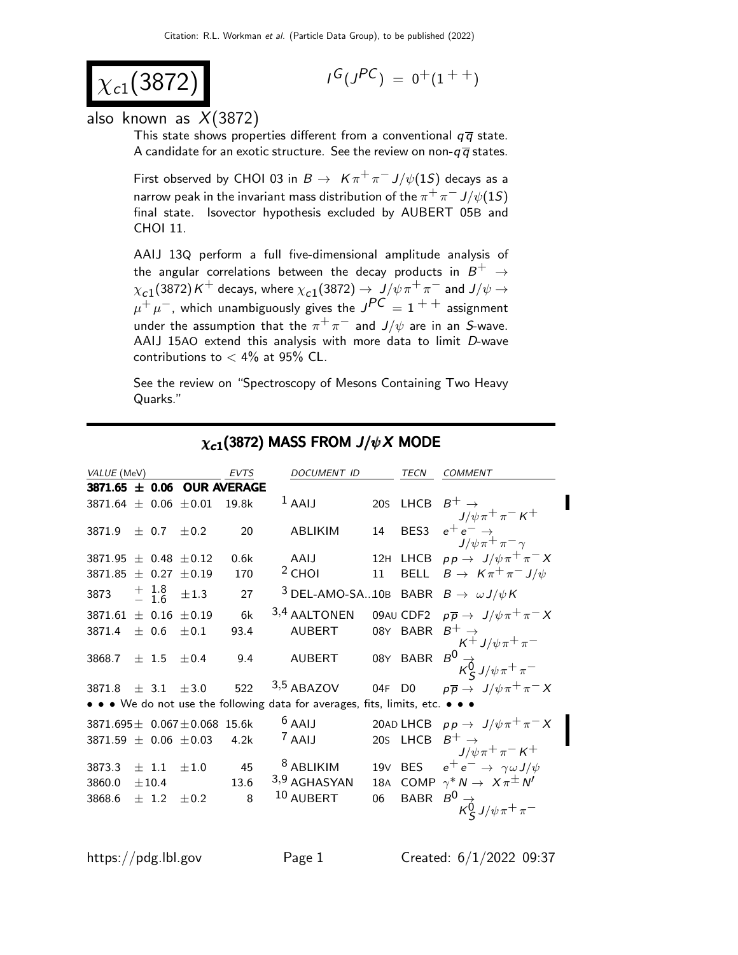$$
\chi_{c1}(3872)
$$

$$
I^G(J^{PC})\ =\ 0^+(1^{++})
$$

#### also known as  $X(3872)$

This state shows properties different from a conventional  $q\bar{q}$  state. A candidate for an exotic structure. See the review on non- $q\overline{q}$  states.

First observed by CHOI 03 in  $B\to~$  K  $\pi^+\pi^-$  J/ $\psi(1S)$  decays as a narrow peak in the invariant mass distribution of the  $\pi^{+}\pi^{-}$  J/ $\psi(1S)$ final state. Isovector hypothesis excluded by AUBERT 05B and CHOI 11.

AAIJ 13Q perform a full five-dimensional amplitude analysis of the angular correlations between the decay products in  $B^+$   $\;\rightarrow$  $\chi_{c1}(3872)$  K<sup>+</sup> decays, where  $\chi_{c1}(3872) \to J/\psi \pi^+ \pi^-$  and  $J/\psi \to$  $\mu^+ \mu^-$ , which unambiguously gives the  $J^{PC} = 1^{++}$  assignment under the assumption that the  $\pi^+\pi^-$  and  $J/\psi$  are in an S-wave. AAIJ 15AO extend this analysis with more data to limit D-wave contributions to  $<$  4% at 95% CL.

See the review on "Spectroscopy of Mesons Containing Two Heavy Quarks."

| VALUE (MeV)                            |                    |           | <b>EVTS</b>                    | <b>DOCUMENT ID</b>                                                            |    | <b>TECN</b>                | <b>COMMENT</b>                                                                                                           |
|----------------------------------------|--------------------|-----------|--------------------------------|-------------------------------------------------------------------------------|----|----------------------------|--------------------------------------------------------------------------------------------------------------------------|
|                                        |                    |           | $3871.65 \pm 0.06$ OUR AVERAGE |                                                                               |    |                            |                                                                                                                          |
| 3871.64 $\pm$ 0.06 $\pm$ 0.01          |                    |           | 19.8k                          | $1$ AAIJ                                                                      |    | 20s LHCB $B^+ \rightarrow$ | $J/\psi \pi^+ \pi^- K^+$                                                                                                 |
| 3871.9                                 | $\pm$ 0.7          | $+0.2$    | 20                             | <b>ABLIKIM</b>                                                                | 14 | BES3                       | $e^+e^- \rightarrow$<br>$J/\psi \pi^+ \pi^- \gamma$                                                                      |
| 3871.95 $\pm$ 0.48 $\pm$ 0.12          |                    |           | 0.6k                           | AAIJ                                                                          |    |                            | 12H LHCB $pp \rightarrow J/\psi \pi^+ \pi^- X$                                                                           |
| 3871.85                                | $\pm$ 0.27         | ±0.19     | 170                            | $2$ CHOI                                                                      |    |                            | 11 BELL $B \to K \pi^+ \pi^- J/\psi$                                                                                     |
| 3873                                   | $+$ 1.8<br>$-$ 1.6 | $\pm 1.3$ | 27                             | <sup>3</sup> DEL-AMO-SA10B BABR $B \to \omega J/\psi K$                       |    |                            |                                                                                                                          |
| $3871.61 \pm 0.16$                     |                    | ±0.19     | 6k                             | 3,4 AALTONEN                                                                  |    |                            | 09AU CDF2 $p\overline{p} \rightarrow J/\psi \pi^+ \pi^- X$                                                               |
| 3871.4                                 | $\pm$ 0.6          | $\pm 0.1$ | 93.4                           | <b>AUBERT</b>                                                                 |    |                            |                                                                                                                          |
| 3868.7                                 | $+1.5$             | $\pm 0.4$ | 9.4                            | <b>AUBERT</b>                                                                 |    |                            | 08Y BABR $B^+$ $\rightarrow$<br>$K^+$ $J/\psi \pi^+ \pi^-$<br>08Y BABR $B^0 \rightarrow$<br>$K_S^0$ $J/\psi \pi^+ \pi^-$ |
| 3871.8 $\pm$ 3.1 $\pm$ 3.0             |                    |           |                                | 522 $3,5$ ABAZOV                                                              |    |                            | 04F D0 $p\overline{p} \rightarrow J/\psi \pi^+ \pi^- X$                                                                  |
|                                        |                    |           |                                | • • • We do not use the following data for averages, fits, limits, etc. • • • |    |                            |                                                                                                                          |
| 3871.695 $\pm$ 0.067 $\pm$ 0.068 15.6k |                    |           |                                | $6$ AAIJ                                                                      |    |                            | 20AD LHCB $pp \rightarrow J/\psi \pi^+ \pi^- X$                                                                          |
| 3871.59 $\pm$ 0.06 $\pm$ 0.03          |                    |           | 4.2k                           | $^7$ AAIJ                                                                     |    | 20s LHCB $B^+ \rightarrow$ | $J/\psi\pi^+\pi^-$ K <sup>+</sup>                                                                                        |
| 3873.3                                 | $\pm$ 1.1          | ±1.0      | 45                             | <sup>8</sup> ABLIKIM                                                          |    |                            | 19V BES $e^+e^- \rightarrow \gamma \omega J/\psi$                                                                        |
| 3860.0                                 | ±10.4              |           | 13.6                           | 3,9 AGHASYAN                                                                  |    |                            | 18A COMP $\gamma^* N \to X \pi^{\pm} N'$                                                                                 |
| 3868.6                                 | $+$ 1.2            | $\pm 0.2$ | 8                              | 10 AUBERT                                                                     | 06 |                            | BABR $B^0 \rightarrow K_S^0 J/\psi \pi^+ \pi^-$                                                                          |
|                                        |                    |           |                                |                                                                               |    |                            |                                                                                                                          |

#### $\chi_{c1}(3872)$  MASS FROM  $J/\psi X$  MODE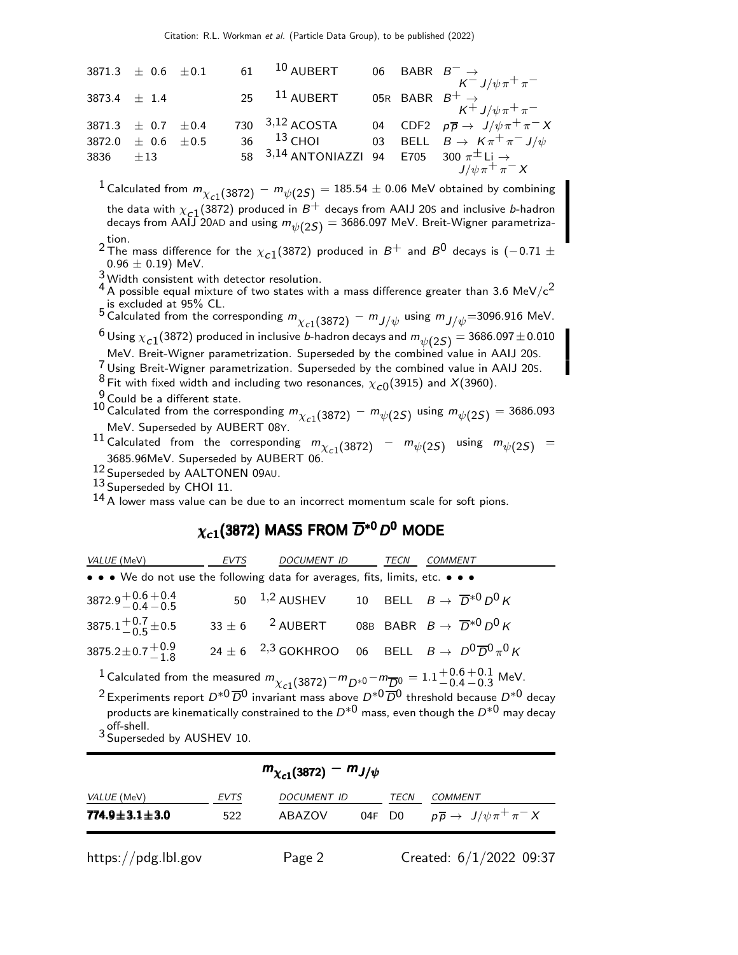|                  | 3871.3 $\pm$ 0.6 $\pm$ 0.1 |  | $61$ $^{10}$ AUBERT                                           |  | 06 BABR $B^- \rightarrow$<br>$K^{-}$ $J/\psi \pi^{+} \pi^{-}$      |
|------------------|----------------------------|--|---------------------------------------------------------------|--|--------------------------------------------------------------------|
| 3873.4 $\pm$ 1.4 |                            |  | $25$ $11$ AUBERT                                              |  | 05R BABR $B^+\to \over K^+J/\psi\pi^+\pi^-$                        |
|                  | 3871.3 $\pm$ 0.7 $\pm$ 0.4 |  | 730 3,12 ACOSTA                                               |  | 04 CDF2 $p\overline{p} \rightarrow J/\psi \pi^+ \pi^- X$           |
|                  | 3872.0 $\pm$ 0.6 $\pm$ 0.5 |  |                                                               |  | 36 <sup>13</sup> CHOI 03 BELL $B \rightarrow K \pi^+ \pi^- J/\psi$ |
| 3836 $\pm 13$    |                            |  | 58 $3,14$ ANTONIAZZI 94 E705 300 $\pi^{\pm}$ Li $\rightarrow$ |  |                                                                    |
|                  |                            |  |                                                               |  | $J/\psi \pi^+ \pi^- X$                                             |

 $^1$  Calculated from  $m_{\chi_{c1}(3872)}-m_{\psi(2S)}=185.54\pm0.06$  MeV obtained by combining the data with  $\chi_{c1}(3872)$  produced in  $B^+$  decays from AAIJ 20S and inclusive b-hadron decays from AAIJ 20AD and using  $m_{\psi(2S)}=$  3686.097 MeV. Breit-Wigner parametriza-

tion.<br><sup>2</sup> The mass difference for the  $\chi_{c1}(3872)$  produced in  $B^+$  and  $B^0$  decays is (−0.71  $\pm$  $0.96 \pm 0.19$ ) MeV.

<sup>3</sup> Width consistent with detector resolution.

 $^4$  A possible equal mixture of two states with a mass difference greater than 3.6 MeV/c<sup>2</sup> is excluded at 95% CL.

5 Calculated from the corresponding  $m_{\chi_{c1}(3872)} - m_{J/\psi}$  using  $m_{J/\psi}$ =3096.916 MeV.  $^6$  Using  $\chi_{c1}^{\,}(\text{3872})$  produced in inclusive  $b$ -hadron decays and  $m_{\psi(\text{2S})} = 3686.097 \pm 0.010$ 

MeV. Breit-Wigner parametrization. Superseded by the combined value in AAIJ 20S.

 $7$  Using Breit-Wigner parametrization. Superseded by the combined value in AAIJ 20S.

 $8$  Fit with fixed width and including two resonances,  $\chi_{c0}(3915)$  and  $X(3960)$ .

 $\frac{9}{6}$  Could be a different state.

10 Calculated from the corresponding  $m_{\chi_{c1}(3872)} - m_{\psi(2S)}$  using  $m_{\psi(2S)} = 3686.093$ MeV. Superseded by AUBERT 08Y.

<sup>11</sup> Calculated from the corresponding  $m_{\chi_{c1}}(3872) - m_{\psi(2S)}$  using  $m_{\psi(2S)} =$ 3685.96MeV. Superseded by AUBERT 06.

12 Superseded by AALTONEN 09AU.

13 Superseded by CHOI 11.

 $14$  A lower mass value can be due to an incorrect momentum scale for soft pions.

# $\chi_{c1}^{~}(3872)$  MASS FROM  $\overline{D}^{*0}$   $D^0$  MODE

| <i>VALUE</i> (MeV)                                                            | EVTS | DOCUMENT ID                                                      | TECN | <b>COMMENT</b>                                                           |
|-------------------------------------------------------------------------------|------|------------------------------------------------------------------|------|--------------------------------------------------------------------------|
| • • • We do not use the following data for averages, fits, limits, etc. • • • |      |                                                                  |      |                                                                          |
| $3872.9 + 0.6 + 0.4$<br>0.4 - 0.5                                             |      | 50 <sup>1,2</sup> AUSHEV 10 BELL $B \to \overline{D}^{*0} D^0 K$ |      |                                                                          |
| 3875.1 <sup>+0.7</sup> ± 0.5                                                  |      | $33 \pm 6$ 2 AUBERT                                              |      | 08B BABR $B \to \overline{D}{}^{*0} D^0 K$                               |
| 3875.2 ± 0.7 $^{+0.9}_{-1.8}$                                                 |      |                                                                  |      | 24 ± 6 <sup>2,3</sup> GOKHROO 06 BELL $B \to D^0 \overline{D}^0 \pi^0 K$ |
|                                                                               |      |                                                                  |      |                                                                          |

1 Calculated from the measured  $m_{\chi_{c1}(3872)} - m_{D^{*0}} - m_{\overline{D}^0} = 1.1 + 0.6 + 0.1$  MeV.

 $2$  Experiments report  $D^{*0}\overline{D}^0$  invariant mass above  $D^{*0}\overline{D}^0$  threshold because  $D^{*0}$  decay products are kinematically constrained to the  $D^{*0}$  mass, even though the  $D^{*0}$  may decay off-shell. 3 Superseded by AUSHEV 10.

| $m_{\chi_{c1}(3872)} - m_{J/\psi}$ |      |                    |        |      |                                                  |  |
|------------------------------------|------|--------------------|--------|------|--------------------------------------------------|--|
| <i>VALUE</i> (MeV)                 | EVTS | <i>DOCUMENT ID</i> |        | TECN | COMMENT                                          |  |
| $774.9 \pm 3.1 \pm 3.0$            | 522  | ABAZOV             | 04F D0 |      | $p\overline{p} \rightarrow J/\psi \pi^+ \pi^- X$ |  |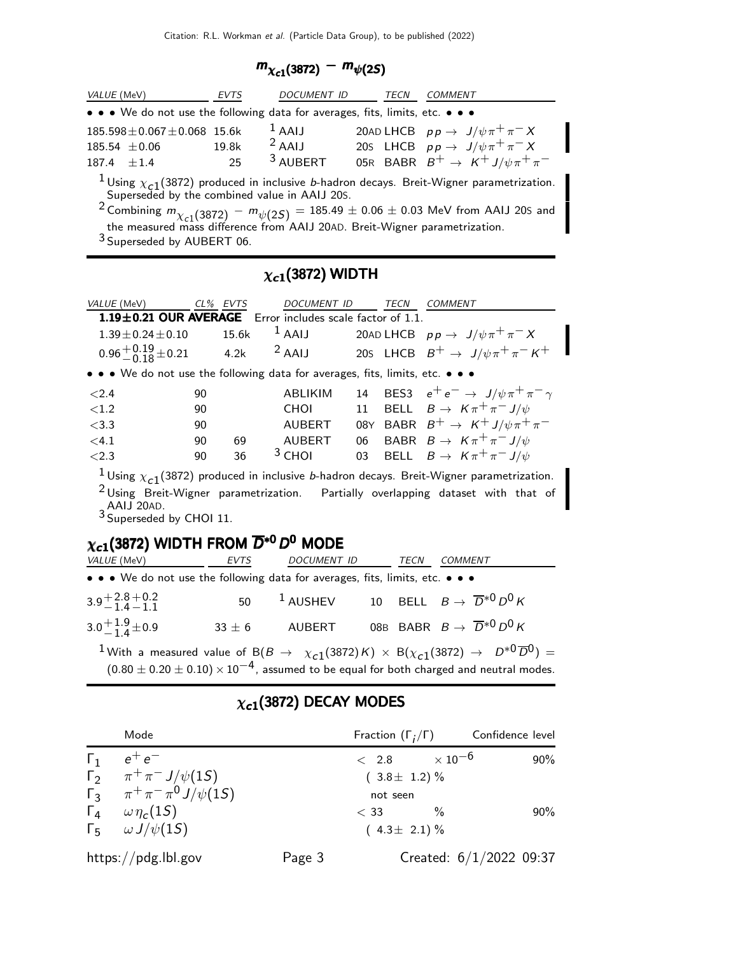$$
m_{\chi_{c1}(3872)}-m_{\psi(2S)}
$$

| <i>VALUE</i> (MeV)                                                            | EVTS  | <b>DOCUMENT ID</b>  | TECN | COMMENT                                           |
|-------------------------------------------------------------------------------|-------|---------------------|------|---------------------------------------------------|
| • • • We do not use the following data for averages, fits, limits, etc. • • • |       |                     |      |                                                   |
| $185.598 \pm 0.067 \pm 0.068$ 15.6k                                           |       | $1$ AAIJ            |      | 20AD LHCB $pp \rightarrow J/\psi \pi^+ \pi^- X$   |
| $185.54 \pm 0.06$                                                             | 19.8k | $2$ AAIJ            |      | 205 LHCB $pp \rightarrow J/\psi \pi^+ \pi^- X$    |
| $187.4 + 1.4$                                                                 | 25    | <sup>3</sup> AUBERT |      | 05R BABR $B^+ \rightarrow K^+ J/\psi \pi^+ \pi^-$ |

<sup>1</sup>Using  $\chi_{c1}(3872)$  produced in inclusive *b*-hadron decays. Breit-Wigner parametrization. Superseded by the combined value in AAIJ 20S.

 $^{2}$  Combining  $m_{\chi_{c1}(3872)} - m_{\psi(2S)} = 185.49 \pm 0.06 \pm 0.03$  MeV from AAIJ 20S and the measured mass difference from AAIJ 20AD. Breit-Wigner parametrization.

3 Superseded by AUBERT 06.

#### $\chi_{c1}(3872)$  WIDTH

| <i>VALUE</i> (MeV)                                                            |    | CL% EVTS   | DOCUMENT ID         |    | TECN | <b>COMMENT</b>                                                                                                                                                                                           |
|-------------------------------------------------------------------------------|----|------------|---------------------|----|------|----------------------------------------------------------------------------------------------------------------------------------------------------------------------------------------------------------|
| 1.19±0.21 OUR AVERAGE Error includes scale factor of 1.1.                     |    |            |                     |    |      |                                                                                                                                                                                                          |
| $1.39 \pm 0.24 \pm 0.10$                                                      |    | 15.6k      | $1$ AAIJ            |    |      | 20AD LHCB $p p \to \ J/\psi \pi^+ \pi^- X$                                                                                                                                                               |
| $0.96^{+0.19}_{-0.18}$ $\pm$ 0.21 4.2k <sup>2</sup> AAIJ                      |    |            |                     |    |      | 20s LHCB $B^+ \rightarrow J/\psi \pi^+ \pi^- K^+$                                                                                                                                                        |
| • • • We do not use the following data for averages, fits, limits, etc. • • • |    |            |                     |    |      |                                                                                                                                                                                                          |
| ${<}2.4$                                                                      | 90 |            | ABLIKIM             |    |      | 14 BES3 $e^+e^- \rightarrow J/\psi \pi^+ \pi^- \gamma$                                                                                                                                                   |
| ${<}1.2$                                                                      | 90 |            | <b>CHOI</b>         |    |      | 11 BELL $B \to K \pi^+ \pi^- J/\psi$                                                                                                                                                                     |
| $<$ 3.3                                                                       | 90 |            | AUBERT              |    |      | 08Y BABR $B^+ \rightarrow K^+ J/\psi \pi^+ \pi^-$                                                                                                                                                        |
| $<$ 4.1                                                                       | 90 | 69         | AUBERT              |    |      | 06 BABR $B \to K \pi^+ \pi^- J/\psi$                                                                                                                                                                     |
| < 2.3                                                                         | 90 | 36         | $3$ CHOI            | 03 |      | BELL $B \to K \pi^+ \pi^- J/\psi$                                                                                                                                                                        |
| AAIJ 20AD.<br><sup>3</sup> Superseded by CHOI 11.                             |    |            |                     |    |      | <sup>1</sup> Using $\chi_{c1}$ (3872) produced in inclusive <i>b</i> -hadron decays. Breit-Wigner parametrization.<br>$2$ Using Breit-Wigner parametrization. Partially overlapping dataset with that of |
| $\chi_{c1}$ (3872) WIDTH FROM $\overline{D}^{*0}$ D <sup>0</sup> MODE         |    |            |                     |    |      |                                                                                                                                                                                                          |
| VALUE (MeV)                                                                   |    | EVTS       | DOCUMENT ID         |    | TECN | <b>COMMENT</b>                                                                                                                                                                                           |
| • • • We do not use the following data for averages, fits, limits, etc. • • • |    |            |                     |    |      |                                                                                                                                                                                                          |
| $3.9 + 2.8 + 0.2$<br>-1.4 – 1.1                                               |    | 50         | <sup>1</sup> AUSHEV |    |      | 10 BELL $B \to \overline{D}^{*0} D^0 K$                                                                                                                                                                  |
| $3.0 + 1.9 + 0.9$                                                             |    | $33 \pm 6$ | <b>AUBERT</b>       |    |      | 08B BABR $B \to \overline{D}^{*0} D^0 K$                                                                                                                                                                 |
| $\sim$ 1                                                                      |    |            |                     |    |      | $\Lambda$ $\Lambda$ $\Lambda$ $\Lambda$ $\Lambda$ $\Lambda$                                                                                                                                              |

1 With a measured value of  $B(B \to \chi_{c1}(3872) K) \times B(\chi_{c1}(3872) \to D^{*0} \overline{D}^0) =$  $(0.80 \pm 0.20 \pm 0.10) \times 10^{-4}$ , assumed to be equal for both charged and neutral modes.

#### Mode Fraction ( $\Gamma_j/\Gamma$ ) Confidence level  $Γ_1$   $e^+e^ +2.8$   $+10^{-6}$   $90\%$  $\int_{-2}^{1} \pi^{+} \pi^{-} J/\psi(15)$  (3.8± 1.2)%  $\int_3^2 \pi^+ \pi^- \pi^0 J/\psi(1S)$  not seen  $\overline{\Gamma_4}$   $\omega \eta_c(1S)$ <br>  $\Gamma_5$   $\omega J/\psi(1S)$  $(1S)$   $<$  33  $\%$  90%  $(4.3 \pm 2.1)$  % https://pdg.lbl.gov Page 3 Created: 6/1/2022 09:37

#### $\chi_{c1}(3872)$  DECAY MODES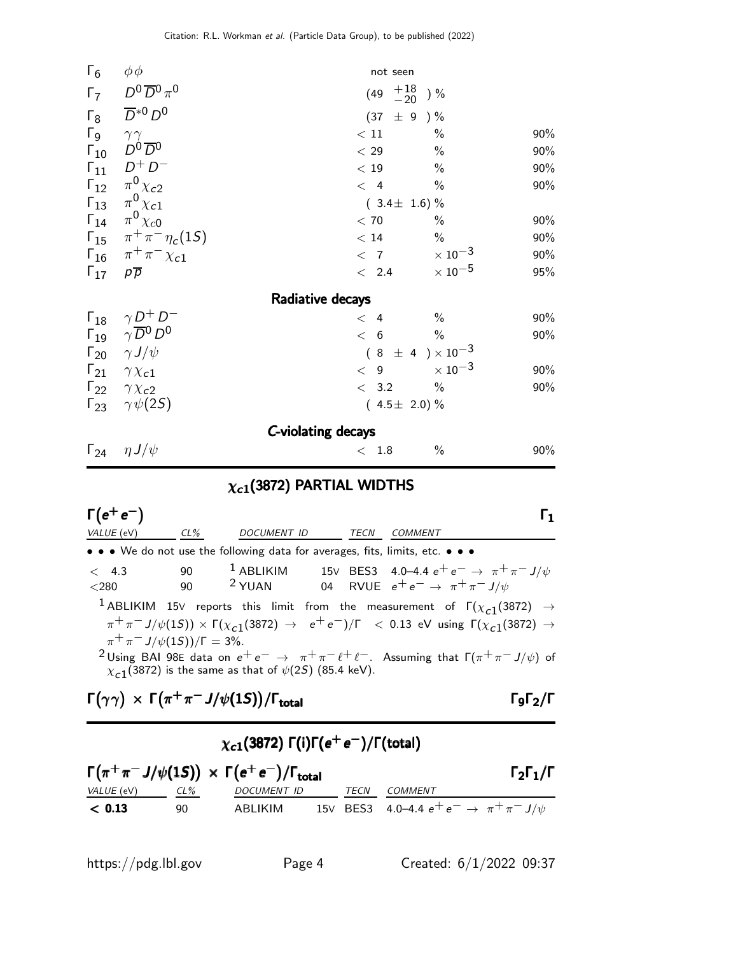| $\Gamma_6$                           | $\phi\phi$                                                                                              | not seen                  |                            |     |
|--------------------------------------|---------------------------------------------------------------------------------------------------------|---------------------------|----------------------------|-----|
| $\Gamma_7$                           | $D^0\overline{D}{}^0\pi^0$                                                                              | $(49 \tfrac{+18}{-20})$ % |                            |     |
| $\Gamma_8$                           | $\overline{D}^{*0}D^0$                                                                                  | (37)                      | $\pm$ 9 ) %                |     |
|                                      |                                                                                                         | $<\,11$                   | $\%$                       | 90% |
|                                      | $\begin{matrix} I & 9 \\ \Gamma_{10} & D^0\overline{D}^0 \end{matrix}$                                  | $<\,29$                   | $\%$                       | 90% |
| $\Gamma_{11}$                        | $D^+D^-$                                                                                                | < 19                      | $\%$                       | 90% |
|                                      | $\Gamma_{12}$ $\pi^0 \chi_{c2}$                                                                         | < 4                       | $\%$                       | 90% |
|                                      | $\Gamma_{13}$ $\pi^0 \chi_{c1}$                                                                         | $(3.4 \pm 1.6)\%$         |                            |     |
|                                      | $\Gamma_{14}$ $\pi^0 \chi_{c0}$                                                                         | $<\,70$                   | $\%$                       | 90% |
|                                      | $\Gamma_{15}$ $\pi^{+}\pi^{-}\eta_{c}(1S)$                                                              | < 14                      | $\%$                       | 90% |
|                                      | $\Gamma_{16}$ $\pi^{+}\pi^{-}\chi_{c1}$                                                                 | < 7                       | $\times$ 10 <sup>-3</sup>  | 90% |
| $\Gamma_{17}$ $\rho \overline{\rho}$ |                                                                                                         | < 2.4                     | $\times$ 10 $^{-5}$        | 95% |
|                                      |                                                                                                         | Radiative decays          |                            |     |
|                                      |                                                                                                         | $\lt$ 4                   | $\frac{0}{0}$              | 90% |
|                                      | $\begin{array}{cc} \Gamma_{18} & \gamma D^+ D^- \\ \Gamma_{19} & \gamma \overline{D}^0 D^0 \end{array}$ | < 6                       | $\%$                       | 90% |
|                                      | $\Gamma_{20}$ $\gamma J/\psi$                                                                           |                           | $(8 \pm 4) \times 10^{-3}$ |     |
|                                      | $\Gamma_{21}$ $\gamma \chi_{c1}$                                                                        | < 9                       | $\times$ 10 $^{-3}$        | 90% |
|                                      | $\Gamma_{22}$ $\gamma \chi_{c2}$                                                                        | < 3.2                     | $\%$                       | 90% |
| $\Gamma_{23}$                        | $\gamma \psi(2S)$                                                                                       | $(4.5 \pm 2.0)\%$         |                            |     |
|                                      |                                                                                                         | C-violating decays        |                            |     |
|                                      | $\Gamma_{24}$ $\eta J/\psi$                                                                             | < 1.8                     | $\%$                       | 90% |

## $\chi_{c1}(3872)$  PARTIAL WIDTHS

| $\Gamma(e^+e^-)$                       |          |                                                                                  |      |                                                                                                                                                                                                                                                                                                                                                                                   |
|----------------------------------------|----------|----------------------------------------------------------------------------------|------|-----------------------------------------------------------------------------------------------------------------------------------------------------------------------------------------------------------------------------------------------------------------------------------------------------------------------------------------------------------------------------------|
| VALUE (eV)                             | $CL\%$   | <b>DOCUMENT ID</b>                                                               | TECN | COMMENT                                                                                                                                                                                                                                                                                                                                                                           |
|                                        |          | • • • We do not use the following data for averages, fits, limits, etc. • • •    |      |                                                                                                                                                                                                                                                                                                                                                                                   |
| < 4.3<br>$<$ 280                       | 90<br>90 |                                                                                  |      | <sup>1</sup> ABLIKIM 15V BES3 4.0–4.4 $e^+e^- \rightarrow \pi^+\pi^- J/\psi$<br><sup>2</sup> YUAN 04 RVUE $e^+e^- \rightarrow \pi^+\pi^- J/\psi$                                                                                                                                                                                                                                  |
| $\pi^+ \pi^- J/\psi(1S)/\Gamma = 3\%.$ |          | $\chi_{c1}(3872)$ is the same as that of $\psi(2S)$ (85.4 keV).                  |      | <sup>1</sup> ABLIKIM 15V reports this limit from the measurement of $\Gamma(\chi_{c1}(3872) \rightarrow$<br>$\pi^+\pi^-J/\psi(15)) \times \Gamma(\chi_{c1}(3872) \rightarrow e^+e^-)/\Gamma$ < 0.13 eV using $\Gamma(\chi_{c1}(3872) \rightarrow$<br><sup>2</sup> Using BAI 98E data on $e^+e^- \rightarrow \pi^+\pi^-\ell^+\ell^-$ . Assuming that $\Gamma(\pi^+\pi^-J/\psi)$ of |
|                                        |          | $\Gamma(\gamma\gamma) \times \Gamma(\pi^+\pi^-J/\psi(1S))/\Gamma_{\text{total}}$ |      |                                                                                                                                                                                                                                                                                                                                                                                   |

| $\chi_{c1}(3872)$ Γ(i)Γ( $e^+e^-$ )/Γ(total) |     |                                                                             |  |      |                                                         |                           |  |  |
|----------------------------------------------|-----|-----------------------------------------------------------------------------|--|------|---------------------------------------------------------|---------------------------|--|--|
|                                              |     | $\Gamma(\pi^+\pi^- J/\psi(1S)) \times \Gamma(e^+e^-)/\Gamma_{\text{total}}$ |  |      |                                                         | $\Gamma_2\Gamma_1/\Gamma$ |  |  |
| <i>VALUE</i> (eV)                            | CL% | DOCUMENT ID                                                                 |  | TECN | COMMENT                                                 |                           |  |  |
| < 0.13                                       | 90  | ABLIKIM                                                                     |  |      | 15V BES3 4.0–4.4 $e^+e^- \rightarrow \pi^+\pi^- J/\psi$ |                           |  |  |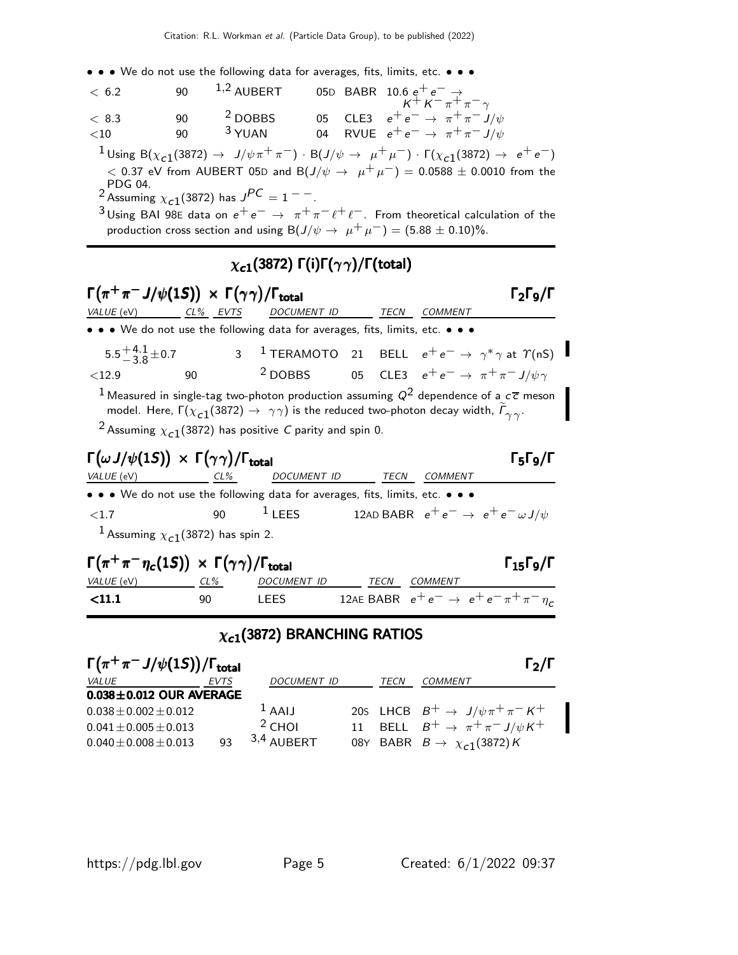• • • We do not use the following data for averages, fits, limits, etc. • • •

| < 6.2   | 90  | $^{1,2}$ AUBERT    |  | 05D BABR 10.6 $e^+e^- \rightarrow$<br>$K^+K^-\pi^+\pi^-\gamma$ |
|---------|-----|--------------------|--|----------------------------------------------------------------|
| < 8.3   | 90  | <sup>2</sup> DOBBS |  | 05 CLE3 $e^+e^- \to \pi^+\pi^- J/\psi$                         |
| ${<}10$ | 90. | $3$ YUAN           |  | 04 RVUE $e^+e^- \rightarrow \pi^+\pi^- J/\psi$                 |
|         |     |                    |  |                                                                |

 $1$ Using B( $\chi_{c1}$ (3872) → J/ $\psi \pi^+ \pi^-$ ) · B(J/ $\psi \to \mu^+ \mu^-$ ) · Γ( $\chi_{c1}$ (3872) → e<sup>+</sup>e<sup>-</sup>) < 0.37 eV from AUBERT 05D and B( $J/\psi$  →  $\mu^+ \mu^-$ ) = 0.0588 ± 0.0010 from the

PDG 04.<br><sup>2</sup> Assuming  $\chi_{c1}^{}/(3872)$  has  $J^{PC} = 1^{--}$  .

 $3$ Using BAI 98E data on  $e^+e^-\rightarrow \pi^+\pi^-\ell^+\ell^-$ . From theoretical calculation of the production cross section and using B( $J/\psi \rightarrow \mu^+ \mu^-$ ) = (5.88 ± 0.10)%.

### $\chi_{c1}(3872)$  Γ(i)Γ( $\gamma\gamma$ )/Γ(total)

| $\Gamma(\pi^+\pi^-J/\psi(1S)) \times \Gamma(\gamma\gamma)/\Gamma_{\text{total}}$                     |    |                                                                                                                                                                                                                                                                                                                                        |                                                                       | $\Gamma_2\Gamma_9/\Gamma$                              |
|------------------------------------------------------------------------------------------------------|----|----------------------------------------------------------------------------------------------------------------------------------------------------------------------------------------------------------------------------------------------------------------------------------------------------------------------------------------|-----------------------------------------------------------------------|--------------------------------------------------------|
| VALUE (eV) CL% EVTS DOCUMENT ID TECN COMMENT                                                         |    |                                                                                                                                                                                                                                                                                                                                        |                                                                       |                                                        |
| • • • We do not use the following data for averages, fits, limits, etc. • • •                        |    |                                                                                                                                                                                                                                                                                                                                        |                                                                       |                                                        |
|                                                                                                      |    | 5.5 <sup>+4.1</sup> <sub>3.8</sub> ± 0.7 3 <sup>1</sup> TERAMOTO 21 BELL $e^+e^- \to \gamma^* \gamma$ at $\gamma$ (nS)                                                                                                                                                                                                                 |                                                                       |                                                        |
| $<$ 12.9                                                                                             | 90 | <sup>2</sup> DOBBS 05 CLE3 $e^+e^- \rightarrow \pi^+\pi^- J/\psi \gamma$                                                                                                                                                                                                                                                               |                                                                       |                                                        |
|                                                                                                      |    | <sup>1</sup> Measured in single-tag two-photon production assuming $Q^2$ dependence of a $c\bar{c}$ meson<br>model. Here, $\Gamma(\chi_{c1}(3872) \to \gamma\gamma)$ is the reduced two-photon decay width, $\widetilde{\Gamma}_{\gamma\gamma}$ .<br><sup>2</sup> Assuming $\chi_{c1}$ (3872) has positive <i>C</i> parity and spin 0. |                                                                       |                                                        |
| $\Gamma(\omega J/\psi(1S)) \times \Gamma(\gamma\gamma)/\Gamma_{\text{total}}$                        |    |                                                                                                                                                                                                                                                                                                                                        |                                                                       | $\Gamma_5\Gamma_9/\Gamma$                              |
| VALUE (eV) CL% DOCUMENT ID TECN COMMENT                                                              |    |                                                                                                                                                                                                                                                                                                                                        |                                                                       |                                                        |
| • • • We do not use the following data for averages, fits, limits, etc. • • •                        |    |                                                                                                                                                                                                                                                                                                                                        |                                                                       |                                                        |
| ${<}1.7$                                                                                             | 90 |                                                                                                                                                                                                                                                                                                                                        | <sup>1</sup> LEES 12AD BABR $e^+e^- \rightarrow e^+e^- \omega J/\psi$ |                                                        |
| <sup>1</sup> Assuming $\chi_{c1}(3872)$ has spin 2.                                                  |    |                                                                                                                                                                                                                                                                                                                                        |                                                                       |                                                        |
| $\Gamma(\pi^+\pi^-\eta_c(1S)) \times \Gamma(\gamma\gamma)/\Gamma_{\text{total}}$<br>$VALUE$ (eV) CL% |    | DOCUMENT ID TECN COMMENT                                                                                                                                                                                                                                                                                                               |                                                                       | $\Gamma_{15}$ Г $_{9}$ /Г                              |
| < 11.1                                                                                               | 90 | <b>LEES</b>                                                                                                                                                                                                                                                                                                                            |                                                                       | 12AE BABR $e^+e^- \rightarrow e^+e^- \pi^+\pi^-\eta_c$ |
|                                                                                                      |    |                                                                                                                                                                                                                                                                                                                                        |                                                                       |                                                        |
|                                                                                                      |    | $\chi_{c1}$ (3872) BRANCHING RATIOS                                                                                                                                                                                                                                                                                                    |                                                                       |                                                        |

| $\Gamma(\pi^+\pi^-J/\psi(1S))/\Gamma_{\text{total}}$ |             |                    |      | $\Gamma_2/\Gamma$                                 |
|------------------------------------------------------|-------------|--------------------|------|---------------------------------------------------|
| <i>VALUE</i>                                         | <b>EVTS</b> | <b>DOCUMENT ID</b> | TECN | COMMENT                                           |
| $0.038 \pm 0.012$ OUR AVERAGE                        |             |                    |      |                                                   |
| $0.038 \pm 0.002 \pm 0.012$                          |             | $1$ AAIJ           |      | 20s LHCB $B^+ \rightarrow J/\psi \pi^+ \pi^- K^+$ |
| $0.041 \pm 0.005 \pm 0.013$                          |             | $2$ CHOI           |      | 11 BELL $B^+ \rightarrow \pi^+ \pi^- J/\psi K^+$  |
| $0.040 \pm 0.008 \pm 0.013$                          | 93          | $3,4$ AUBERT       |      | 08Y BABR $B \rightarrow \chi_{c1}(3872)K$         |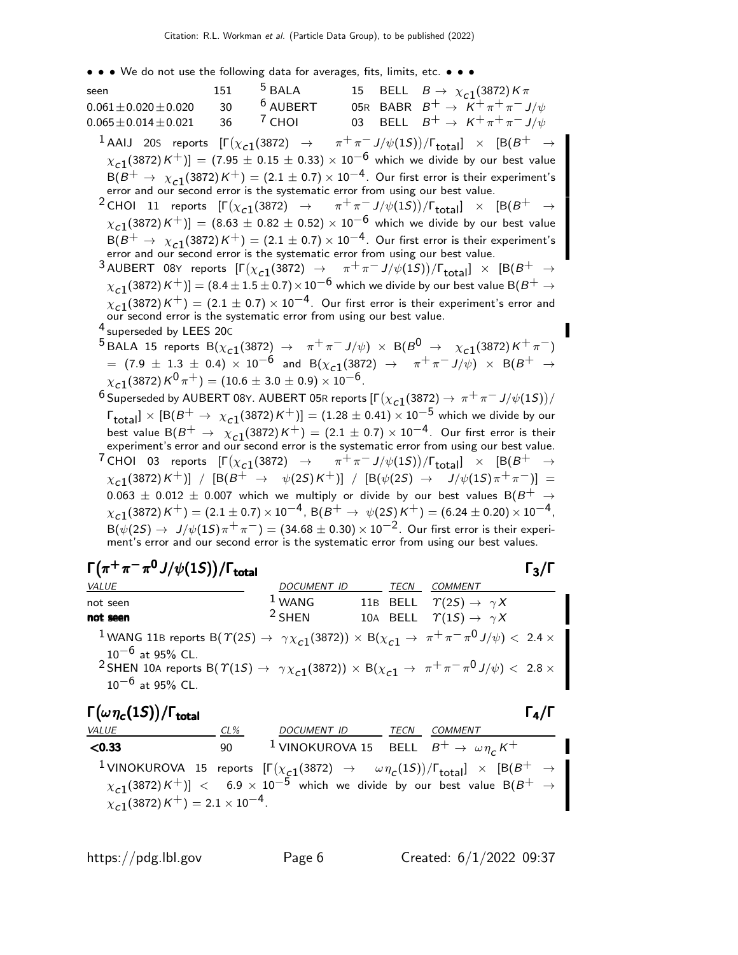• • • We do not use the following data for averages, fits, limits, etc. • • •

| seen                                                                    | 151 | $5$ BALA   | 15 | BELL $B \to \chi_{c1}(3872) K \pi$                                                                                                                                                                                                                                              |
|-------------------------------------------------------------------------|-----|------------|----|---------------------------------------------------------------------------------------------------------------------------------------------------------------------------------------------------------------------------------------------------------------------------------|
| $0.061 \pm 0.020 \pm 0.020$                                             | 30  | $6$ AUBERT |    | 05R BABR $B^+ \rightarrow K^+ \pi^+ \pi^- J/\psi$                                                                                                                                                                                                                               |
| $0.065 \pm 0.014 \pm 0.021$                                             | 36  | $7$ CHOI   | 03 | BELL $B^+ \rightarrow K^+ \pi^+ \pi^- J/\psi$                                                                                                                                                                                                                                   |
|                                                                         |     |            |    | $^1$ AAIJ 20S reports $[\Gamma(\chi_{c1}(3872) \rightarrow \pi^+\pi^- J/\psi(1S))/\Gamma_{\rm total}]\times [B(B^+\rightarrow \pi^+\pi^- J/\psi(1S))/\Gamma_{\rm total}$<br>$[\chi_{c1}(3872)K^+)] = (7.95 \pm 0.15 \pm 0.33) \times 10^{-6}$ which we divide by our best value |
|                                                                         |     |            |    | $B(B^+ \to \chi_{c1}(3872) K^+) = (2.1 \pm 0.7) \times 10^{-4}$ . Our first error is their experiment's error and our second error is the systematic error from using our best value.                                                                                           |
|                                                                         |     |            |    | <sup>2</sup> CHOI 11 reports $[\Gamma(\chi_{c1}(3872) \rightarrow \pi^+\pi^- J/\psi(1S))/\Gamma_{\rm total}]\times [B(B^+\rightarrow$                                                                                                                                           |
|                                                                         |     |            |    | $[\chi_{c1}(3872)K^+]=(8.63\pm0.82\pm0.52)\times10^{-6}$ which we divide by our best value                                                                                                                                                                                      |
|                                                                         |     |            |    | $B(B^+ \to \chi_{c1}(3872) K^+) = (2.1 \pm 0.7) \times 10^{-4}$ . Our first error is their experiment's error and our second error is the systematic error from using our best value.                                                                                           |
|                                                                         |     |            |    | <sup>3</sup> AUBERT 08Y reports $[\Gamma(\chi_{c1}(3872) \rightarrow \pi^+\pi^- J/\psi(1S))/\Gamma_{total}] \times [B(B^+\rightarrow$                                                                                                                                           |
|                                                                         |     |            |    | $\chi_{c1}(3872)$ K $^+)$ ] = (8.4 $\pm$ 1.5 $\pm$ 0.7) $\times$ 10 $^{-6}$ which we divide by our best value B(B $^+$ $\rightarrow$                                                                                                                                            |
|                                                                         |     |            |    |                                                                                                                                                                                                                                                                                 |
|                                                                         |     |            |    | $\chi_{c1}(3872) K^{+}$ = (2.1 $\pm$ 0.7) $\times$ 10 <sup>-4</sup> . Our first error is their experiment's error and our second error is the systematic error from using our best value.                                                                                       |
| <sup>4</sup> superseded by LEES 20C                                     |     |            |    |                                                                                                                                                                                                                                                                                 |
|                                                                         |     |            |    | $^{5}$ BALA 15 reports B $(\chi_{c1}(3872) \rightarrow \pi^{+}\pi^{-}J/\psi) \times B(B^{0} \rightarrow \chi_{c1}(3872)K^{+}\pi^{-})$                                                                                                                                           |
|                                                                         |     |            |    | $\tau =$ $(7.9 \pm 1.3 \pm 0.4) \times 10^{-6}$ and B $(\chi_{c1}(3872) \rightarrow \pi^{+}\pi^{-}J/\psi) \times B(B^{+} \rightarrow \pi^{+}J/\psi)$                                                                                                                            |
| $\chi_{c1}(3872)\,K^0\,\pi^+) = (10.6 \pm 3.0 \pm 0.9) \times 10^{-6}.$ |     |            |    |                                                                                                                                                                                                                                                                                 |
|                                                                         |     |            |    | <sup>6</sup> Superseded by AUBERT 08Y. AUBERT 05R reports $[\Gamma(\chi_{c1}(3872) \to \pi^+\pi^- J/\psi(1S))/\psi(1S)]$                                                                                                                                                        |
|                                                                         |     |            |    | $\Gamma_{\text{total}} \times [B(B^+ \to \chi_{c1}(3872)K^+)] = (1.28 \pm 0.41) \times 10^{-5}$ which we divide by our                                                                                                                                                          |
|                                                                         |     |            |    | best value $B(B^+ \to \chi_{c1}(3872) K^+) = (2.1 \pm 0.7) \times 10^{-4}$ . Our first error is their experiment's error and our second error is the systematic error from using our best value.                                                                                |
|                                                                         |     |            |    | <sup>7</sup> CHOI 03 reports $[\Gamma(\chi_{c1}(3872) \rightarrow \pi^+\pi^- J/\psi(1S))/\Gamma_{\rm total}]\times [B(B^+\rightarrow$                                                                                                                                           |
|                                                                         |     |            |    | $\chi_{c1}(3872) K^+)$ ] / [B(B <sup>+</sup> $\rightarrow \psi(25) K^+)$ ] / [B( $\psi(25) \rightarrow J/\psi(15) \pi^+ \pi^-$ ]] =                                                                                                                                             |
|                                                                         |     |            |    | $0.063 \pm 0.012 \pm 0.007$ which we multiply or divide by our best values B(B <sup>+</sup> $\rightarrow$                                                                                                                                                                       |
|                                                                         |     |            |    | $\chi_{c1}(3872) K^{+}$ = (2.1 $\pm$ 0.7) $\times$ 10 <sup>-4</sup> , B(B <sup>+</sup> $\rightarrow \psi(2S) K^{+}$ ) = (6.24 $\pm$ 0.20) $\times$ 10 <sup>-4</sup> ,                                                                                                           |
|                                                                         |     |            |    | $B(\psi(2S) \to J/\psi(1S)\pi^+\pi^-) = (34.68 \pm 0.30) \times 10^{-2}$ . Our first error is their experiment's error and our second error is the systematic error from using our best values.                                                                                 |

| $\Gamma(\pi^+\pi^-\pi^0J/\psi(1S))/\Gamma_{\rm total}$ |  |
|--------------------------------------------------------|--|
|                                                        |  |

| $\Gamma(\pi^+\pi^-\pi^0J/\psi(1S))/\Gamma_{\text{total}}$                                                                                                                                                                                                                                                                                                                  |                    |      |                                              | $\Gamma_3/\Gamma$ |
|----------------------------------------------------------------------------------------------------------------------------------------------------------------------------------------------------------------------------------------------------------------------------------------------------------------------------------------------------------------------------|--------------------|------|----------------------------------------------|-------------------|
| <i>VALUE</i>                                                                                                                                                                                                                                                                                                                                                               | <b>DOCUMENT ID</b> | TECN | <b>COMMENT</b>                               |                   |
| not seen                                                                                                                                                                                                                                                                                                                                                                   | $1$ WANG           |      | 11B BELL $\Upsilon(2S) \rightarrow \gamma X$ |                   |
| not seen                                                                                                                                                                                                                                                                                                                                                                   | $2$ SHFN           |      | 10A BELL $\Upsilon(1S) \rightarrow \gamma X$ |                   |
| <sup>1</sup> WANG 11B reports B( $\Upsilon(2S) \rightarrow \gamma \chi_{c1}(3872)) \times B(\chi_{c1} \rightarrow \pi^+ \pi^- \pi^0 J/\psi) < 2.4 \times 10^{-10}$<br>$10^{-6}$ at 95% CL.<br><sup>2</sup> SHEN 10A reports B( $\Upsilon(1S) \rightarrow \gamma \chi_{c1}(3872)$ ) × B( $\chi_{c1} \rightarrow \pi^+ \pi^- \pi^0 J/\psi$ ) < 2.8 ×<br>$10^{-6}$ at 95% CL. |                    |      |                                              |                   |

# $\Gamma(\omega \eta_c(1S))/\Gamma_{\text{total}}$  Γ<sub>4</sub>/Γ

| <i>VALUE</i>                                             | CL% | DOCUMENT ID TECN COMMENT                                            |                                                                                                                                                                                                                                                                                              |
|----------------------------------------------------------|-----|---------------------------------------------------------------------|----------------------------------------------------------------------------------------------------------------------------------------------------------------------------------------------------------------------------------------------------------------------------------------------|
| < 0.33                                                   | 90. | <sup>1</sup> VINOKUROVA 15 BELL $B^+ \rightarrow \omega \eta_c K^+$ |                                                                                                                                                                                                                                                                                              |
| $\chi_{c1}(3872)K^+$ ) = 2.1 $\times$ 10 <sup>-4</sup> . |     |                                                                     | <sup>1</sup> VINOKUROVA 15 reports $[\Gamma(\chi_{c1}(3872) \rightarrow \omega \eta_c(1S))/\Gamma_{total}] \times [B(B^+ \rightarrow \omega \eta_c(1S))/\Gamma_{total}]$<br>$\chi_{c1}(3872)K^+$ ] < 6.9 x 10 <sup>-5</sup> which we divide by our best value B(B <sup>+</sup> $\rightarrow$ |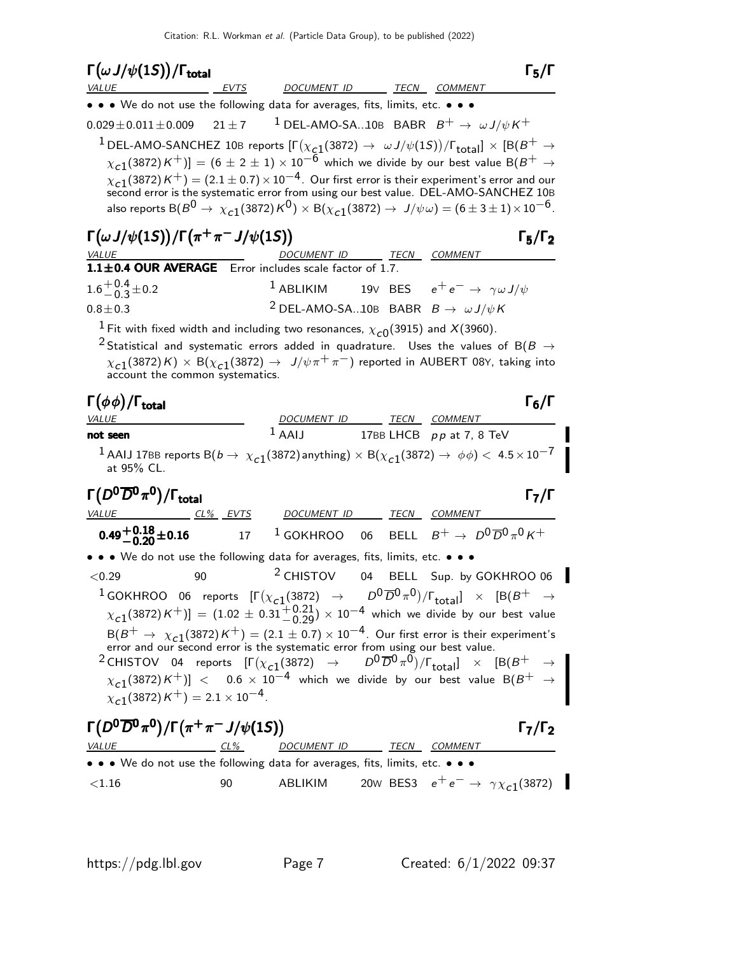| $\Gamma\big(\omega\,J/\psi(1S)\big)/\Gamma_{\rm total}$                                                                                                                                                                                                                                                                                                                                                                    |            |                                                                        |    |                                                       | $\Gamma_5/\Gamma$                                    |
|----------------------------------------------------------------------------------------------------------------------------------------------------------------------------------------------------------------------------------------------------------------------------------------------------------------------------------------------------------------------------------------------------------------------------|------------|------------------------------------------------------------------------|----|-------------------------------------------------------|------------------------------------------------------|
| <i>VALUE</i><br>• • We do not use the following data for averages, fits, limits, etc. • • •                                                                                                                                                                                                                                                                                                                                | EVTS       | DOCUMENT ID                                                            |    | TECN COMMENT                                          |                                                      |
| $0.029 \pm 0.011 \pm 0.009$                                                                                                                                                                                                                                                                                                                                                                                                | $21 \pm 7$ | <sup>1</sup> DEL-AMO-SA10B BABR $B^+ \rightarrow \omega J/\psi K^+$    |    |                                                       |                                                      |
| $^1$ DEL-AMO-SANCHEZ 10B reports $[\Gamma(\chi_{c1}(3872) \to \omega J/\psi(1S))/\Gamma_{\rm total}]\times [B(B^+ \to \pi J/\psi(1S))/\Gamma_{\rm total}]$                                                                                                                                                                                                                                                                 |            |                                                                        |    |                                                       |                                                      |
| $\chi_{c1}(3872)K^+)] = (6 \pm 2 \pm 1) \times 10^{-6}$ which we divide by our best value B $(B^+ \rightarrow$                                                                                                                                                                                                                                                                                                             |            |                                                                        |    |                                                       |                                                      |
| $\chi_{c1}(3872) K^{+}$ = (2.1 $\pm$ 0.7) $\times$ 10 <sup>-4</sup> . Our first error is their experiment's error and our second error is the systematic error from using our best value. DEL-AMO-SANCHEZ 10B<br>also reports B( $B^0 \to \chi_{c1}(3872) K^0$ ) $\times$ B( $\chi_{c1}(3872) \to J/\psi \omega$ ) = (6 ± 3 ± 1) $\times 10^{-6}$ .                                                                        |            |                                                                        |    |                                                       |                                                      |
| $\Gamma(\omega J/\psi(1S))/\Gamma(\pi^+\pi^-J/\psi(1S))$                                                                                                                                                                                                                                                                                                                                                                   |            | DOCUMENT ID TECN COMMENT                                               |    |                                                       | $\Gamma_5/\Gamma_2$                                  |
| 1.1±0.4 OUR AVERAGE Error includes scale factor of 1.7.                                                                                                                                                                                                                                                                                                                                                                    |            |                                                                        |    |                                                       |                                                      |
| $1.6^{+0.4}_{-0.3}$ ± 0.2                                                                                                                                                                                                                                                                                                                                                                                                  |            | <sup>1</sup> ABLIKIM 19V BES $e^+e^- \rightarrow \gamma \omega J/\psi$ |    |                                                       |                                                      |
| $0.8 + 0.3$                                                                                                                                                                                                                                                                                                                                                                                                                |            | <sup>2</sup> DEL-AMO-SA10B BABR $B \rightarrow \omega J/\psi K$        |    |                                                       |                                                      |
| <sup>1</sup> Fit with fixed width and including two resonances, $\chi_{c0}(3915)$ and X(3960).                                                                                                                                                                                                                                                                                                                             |            |                                                                        |    |                                                       |                                                      |
| <sup>2</sup> Statistical and systematic errors added in quadrature. Uses the values of B(B $\rightarrow$<br>$\chi_{c1}(3872)$ K) × B $(\chi_{c1}(3872) \rightarrow J/\psi \pi^+ \pi^-)$ reported in AUBERT 08Y, taking into<br>account the common systematics.                                                                                                                                                             |            |                                                                        |    |                                                       |                                                      |
| $\Gamma(\phi\phi)/\Gamma_{\rm total}$<br><i>VALUE</i>                                                                                                                                                                                                                                                                                                                                                                      |            | DOCUMENT ID TECN COMMENT                                               |    |                                                       | $\Gamma_6/\Gamma$                                    |
| not seen                                                                                                                                                                                                                                                                                                                                                                                                                   |            | $1$ AAIJ                                                               |    | 17BB LHCB $pp$ at 7, 8 TeV                            |                                                      |
| <sup>1</sup> AAIJ 17BB reports B( $b \to \chi_{c1}(3872)$ anything) $\times$ B( $\chi_{c1}(3872) \to \phi\phi$ ) $< 4.5 \times 10^{-7}$<br>at 95% CL.                                                                                                                                                                                                                                                                      |            |                                                                        |    |                                                       |                                                      |
| $\Gamma(D^0\overline{D}{}^0\pi^0)/\Gamma_{\rm total}$                                                                                                                                                                                                                                                                                                                                                                      |            |                                                                        |    |                                                       | $\mathsf{\Gamma}_7/\mathsf{\Gamma}$                  |
| <i>VALUE</i>                                                                                                                                                                                                                                                                                                                                                                                                               | $CL%$ EVTS | DOCUMENT ID                                                            |    | TECN COMMENT                                          |                                                      |
| $0.49^{+0.18}_{-0.20}$ ± 0.16                                                                                                                                                                                                                                                                                                                                                                                              | 17         | $1$ GOKHROO 06                                                         |    | BELL $B^+ \rightarrow D^0 \overline{D}{}^0 \pi^0 K^+$ |                                                      |
| • • We do not use the following data for averages, fits, limits, etc. • • •                                                                                                                                                                                                                                                                                                                                                |            |                                                                        |    |                                                       |                                                      |
| < 0.29<br>90                                                                                                                                                                                                                                                                                                                                                                                                               |            | <sup>2</sup> CHISTOV                                                   | 04 |                                                       | BELL Sup. by GOKHROO 06                              |
| <sup>1</sup> GOKHROO 06 reports $[\Gamma(\chi_{c1}(3872) \rightarrow D^0\overline{D}^0\pi^0)/\Gamma_{\text{total}}] \times [B(B^+ \rightarrow$<br>$\chi_{c1}(3872) K^{+})$ ] = $(1.02 \pm 0.31^{+0.21}_{-0.29}) \times 10^{-4}$ which we divide by our best value                                                                                                                                                          |            |                                                                        |    |                                                       |                                                      |
| $B(B^+ \to \chi_{c1}(3872) K^+) = (2.1 \pm 0.7) \times 10^{-4}$ . Our first error is their experiment's error and our second error is the systematic error from using our best value.                                                                                                                                                                                                                                      |            |                                                                        |    |                                                       |                                                      |
| $B(B^+ \rightarrow \chi_{c1}(\text{long}), \text{over}),$<br>error and our second error is the systematic error from using our vest value.<br><sup>2</sup> CHISTOV 04 reports $[\Gamma(\chi_{c1}(3872) \rightarrow D^0\overline{D}^0\pi^0)/\Gamma_{\text{total}}] \times [B(B^+ \rightarrow P^0\pi^0)]$<br><sup>2</sup> CHISTOV 04 reports $[\Gamma(\chi_{c1}(387$<br>$\chi_{c1}(3872) K^{+}$ ) = 2.1 × 10 <sup>-4</sup> . |            |                                                                        |    |                                                       |                                                      |
| $\Gamma(D^0\overline{D}{}^0\pi^0)/\Gamma(\pi^+\pi^-J/\psi(1S))$<br>VALUE<br>$CL\%$                                                                                                                                                                                                                                                                                                                                         |            | DOCUMENT ID TECN COMMENT                                               |    |                                                       | $\Gamma_7/\Gamma_2$                                  |
| • • • We do not use the following data for averages, fits, limits, etc. • • •                                                                                                                                                                                                                                                                                                                                              |            |                                                                        |    |                                                       |                                                      |
| < 1.16                                                                                                                                                                                                                                                                                                                                                                                                                     | 90         | ABLIKIM                                                                |    |                                                       | 20w BES3 $e^+e^- \rightarrow \gamma \chi_{c1}(3872)$ |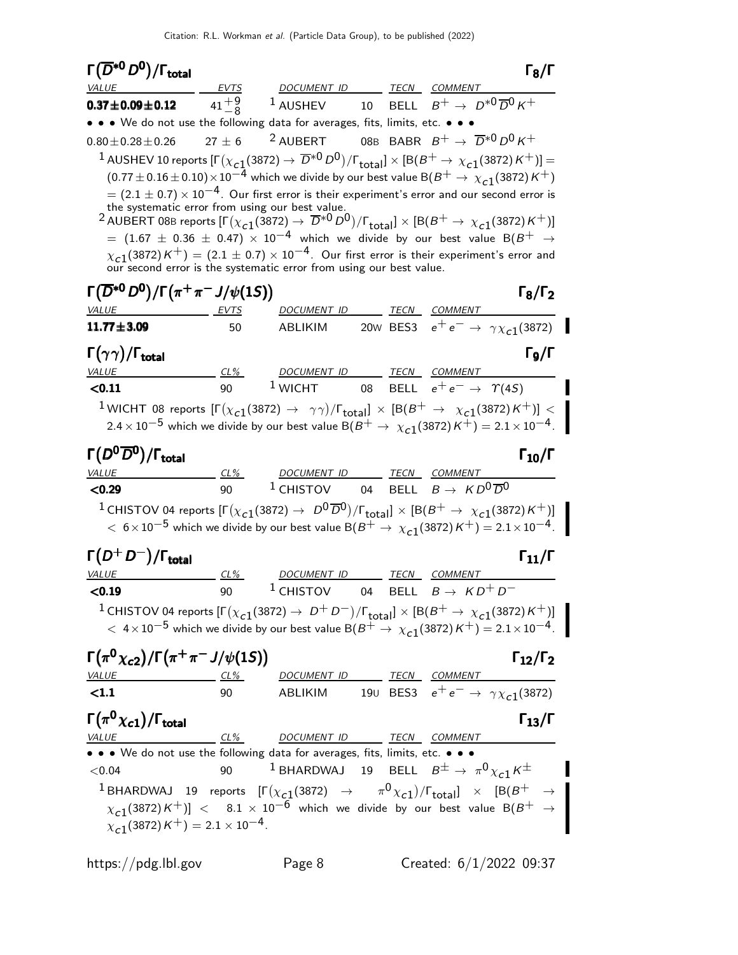| $\Gamma(\overline{D}{}^{*0}D^0)/\Gamma_{\rm total}$                                                                                                                                                                                                                             |                |                                                                                                                                                                                           |  |                                      | $\Gamma_8/\Gamma$                                    |
|---------------------------------------------------------------------------------------------------------------------------------------------------------------------------------------------------------------------------------------------------------------------------------|----------------|-------------------------------------------------------------------------------------------------------------------------------------------------------------------------------------------|--|--------------------------------------|------------------------------------------------------|
| <i>VALUE</i>                                                                                                                                                                                                                                                                    |                | EVTS DOCUMENT ID TECN COMMENT                                                                                                                                                             |  |                                      |                                                      |
| $0.37 \pm 0.09 \pm 0.12$                                                                                                                                                                                                                                                        | $41^{+9}_{-8}$ | <sup>1</sup> AUSHEV 10 BELL $B^+ \rightarrow D^{*0} \overline{D}{}^0 K^+$                                                                                                                 |  |                                      |                                                      |
| • • • We do not use the following data for averages, fits, limits, etc. • • •                                                                                                                                                                                                   |                |                                                                                                                                                                                           |  |                                      |                                                      |
| $0.80 \pm 0.28 \pm 0.26$                                                                                                                                                                                                                                                        | $27 \pm 6$     | <sup>2</sup> AUBERT 08B BABR $B^+ \rightarrow \overline{D}^{*0} D^0 K^+$                                                                                                                  |  |                                      |                                                      |
| $^1$ AUSHEV 10 reports $[\Gamma(\chi_{c1}(3872) \to \overline{D}^{*0} D^0)/\Gamma_{\rm total}]\times[{\rm B}(B^+ \to \chi_{c1}(3872) K^+)] =$                                                                                                                                   |                |                                                                                                                                                                                           |  |                                      |                                                      |
|                                                                                                                                                                                                                                                                                 |                | $(0.77 \pm 0.16 \pm 0.10) \times 10^{-4}$ which we divide by our best value B( $B^+ \to \chi_{c1}(3872) K^+$ )                                                                            |  |                                      |                                                      |
|                                                                                                                                                                                                                                                                                 |                | $= (2.1 \pm 0.7) \times 10^{-4}$ . Our first error is their experiment's error and our second error is                                                                                    |  |                                      |                                                      |
| $^2$ AUBERT 08B reports $[\Gamma(\chi_{c1}(3872) \to \overline{D}^{*0}D^0)/\Gamma_{\text{total}}] \times [B(B^+ \to \chi_{c1}(3872)K^+)]$                                                                                                                                       |                | the systematic error from using our best value.                                                                                                                                           |  |                                      |                                                      |
|                                                                                                                                                                                                                                                                                 |                | $\mu = (1.67 \pm 0.36 \pm 0.47) \times 10^{-4}$ which we divide by our best value B( $B^+$ $\rightarrow$                                                                                  |  |                                      |                                                      |
|                                                                                                                                                                                                                                                                                 |                | $\chi_{c1}(3872) K^{+}$ = (2.1 $\pm$ 0.7) $\times$ 10 <sup>-4</sup> . Our first error is their experiment's error and our second error is the systematic error from using our best value. |  |                                      |                                                      |
|                                                                                                                                                                                                                                                                                 |                |                                                                                                                                                                                           |  |                                      |                                                      |
| $\Gamma(\overline{D}^{*0}D^0)/\Gamma(\pi^+\pi^-J/\psi(1S))$                                                                                                                                                                                                                     |                |                                                                                                                                                                                           |  |                                      | $\Gamma_8/\Gamma_2$                                  |
| VALUE                                                                                                                                                                                                                                                                           | EVTS           | DOCUMENT ID TECN COMMENT                                                                                                                                                                  |  |                                      |                                                      |
| $11.77 \pm 3.09$                                                                                                                                                                                                                                                                | 50             | ABLIKIM                                                                                                                                                                                   |  |                                      | 20w BES3 $e^+e^- \rightarrow \gamma \chi_{c1}(3872)$ |
| $\Gamma(\gamma\gamma)/\Gamma_{\rm total}$                                                                                                                                                                                                                                       |                |                                                                                                                                                                                           |  |                                      | $\Gamma$ <sub>9</sub> /Γ                             |
| <b>VALUE</b>                                                                                                                                                                                                                                                                    | $CL\%$         | DOCUMENT ID TECN COMMENT                                                                                                                                                                  |  |                                      |                                                      |
| < 0.11                                                                                                                                                                                                                                                                          | 90             | $1$ WICHT 08                                                                                                                                                                              |  | BELL $e^+e^- \rightarrow \gamma(4S)$ |                                                      |
| $^1$ WICHT 08 reports $[\Gamma(\chi_{c1}(3872) \to \gamma\gamma)/\Gamma_{\rm total}]\times[{\rm B}(B^+ \to \chi_{c1}(3872)K^+)] < 1$                                                                                                                                            |                |                                                                                                                                                                                           |  |                                      |                                                      |
|                                                                                                                                                                                                                                                                                 |                | $2.4 \times 10^{-5}$ which we divide by our best value B( $B^+ \rightarrow \chi_{c1}(3872) K^+$ ) = $2.1 \times 10^{-4}$ .                                                                |  |                                      |                                                      |
|                                                                                                                                                                                                                                                                                 |                |                                                                                                                                                                                           |  |                                      |                                                      |
| $\Gamma(D^0\overline{D}{}^0)/\Gamma_{\rm total}$                                                                                                                                                                                                                                |                |                                                                                                                                                                                           |  |                                      | $\Gamma_{10}/\Gamma$                                 |
| <b>VALUE</b>                                                                                                                                                                                                                                                                    | $CL\%$         | DOCUMENT ID TECN COMMENT                                                                                                                                                                  |  |                                      |                                                      |
| < 0.29                                                                                                                                                                                                                                                                          | 90             | <sup>1</sup> CHISTOV 04 BELL $B \rightarrow K D^0 \overline{D}^0$                                                                                                                         |  |                                      |                                                      |
| <sup>1</sup> CHISTOV 04 reports $[\Gamma(\chi_{c1}(3872) \to D^0\overline{D}^0)/\Gamma_{\text{total}}] \times [B(B^+ \to \chi_{c1}(3872)K^+)]$                                                                                                                                  |                |                                                                                                                                                                                           |  |                                      |                                                      |
|                                                                                                                                                                                                                                                                                 |                | $< 6 \times 10^{-5}$ which we divide by our best value B $(B^{+} \rightarrow \chi_{c1}(3872) K^{+}) = 2.1 \times 10^{-4}$ .                                                               |  |                                      |                                                      |
| $\Gamma(D^+D^-)/\Gamma_{\rm total}$                                                                                                                                                                                                                                             |                |                                                                                                                                                                                           |  |                                      | $\Gamma_{11}/\Gamma$                                 |
| <b>VALUE</b>                                                                                                                                                                                                                                                                    | $CL\%$         | DOCUMENT ID                                                                                                                                                                               |  | TECN COMMENT                         |                                                      |
| < 0.19                                                                                                                                                                                                                                                                          | 90             | <sup>1</sup> CHISTOV                                                                                                                                                                      |  | 04 BELL $B\to\ K D^+ \ D^-$          |                                                      |
|                                                                                                                                                                                                                                                                                 |                |                                                                                                                                                                                           |  |                                      |                                                      |
| <sup>1</sup> CHISTOV 04 reports $[\Gamma(\chi_{c1}(3872) \rightarrow D^+ D^-)/\Gamma_{\text{total}}] \times [B(B^+ \rightarrow \chi_{c1}(3872) K^+)]$<br>$< 4 \times 10^{-5}$ which we divide by our best value $B(B^+ \rightarrow \chi_{c1}(3872) K^+) = 2.1 \times 10^{-4}$ . |                |                                                                                                                                                                                           |  |                                      |                                                      |
|                                                                                                                                                                                                                                                                                 |                |                                                                                                                                                                                           |  |                                      |                                                      |
| $\Gamma(\pi^0 \chi_{c2})/\Gamma(\pi^+ \pi^- J/\psi(1S))$                                                                                                                                                                                                                        |                |                                                                                                                                                                                           |  |                                      | $\Gamma_{12}/\Gamma_2$                               |
| VALUE<br>$\langle 1.1$                                                                                                                                                                                                                                                          |                | <u>CL% DOCUMENT ID TECN COMMENT</u><br>90 ABLIKIM 190 BES3 $e^+e^- \rightarrow \gamma \chi_{c1}(3872)$                                                                                    |  |                                      |                                                      |
|                                                                                                                                                                                                                                                                                 |                |                                                                                                                                                                                           |  |                                      |                                                      |
| $\Gamma(\pi^0\chi_{c1})/\Gamma_{\rm total}$                                                                                                                                                                                                                                     |                |                                                                                                                                                                                           |  |                                      | $\Gamma_{13}/\Gamma$                                 |
| VALUE                                                                                                                                                                                                                                                                           |                | CL% DOCUMENT ID TECN COMMENT                                                                                                                                                              |  |                                      |                                                      |
| • • • We do not use the following data for averages, fits, limits, etc. • • •                                                                                                                                                                                                   |                |                                                                                                                                                                                           |  |                                      |                                                      |
| < 0.04                                                                                                                                                                                                                                                                          |                | $^{-1}$ BHARDWAJ 19 BELL $B^{\pm} \rightarrow \pi^{0} \chi_{c1} K^{\pm}$                                                                                                                  |  |                                      |                                                      |
| 0.04 90<br>1 BHARDWAJ 19 reports $[\Gamma(\chi_{c1}(3872) \rightarrow \pi^0 \chi_{c1})/\Gamma_{\text{total}}] \times [B(B^+ \rightarrow \pi^0 \chi_{c1})/\Gamma_{\text{total}}] \times [B(B^+ \rightarrow \pi^0 \chi_{c1})/\Gamma_{\text{total}}]$                              |                |                                                                                                                                                                                           |  |                                      |                                                      |
|                                                                                                                                                                                                                                                                                 |                |                                                                                                                                                                                           |  |                                      |                                                      |
| $\chi_{c1}(3872)K^+$ ) = 2.1 × 10 <sup>-4</sup> .                                                                                                                                                                                                                               |                |                                                                                                                                                                                           |  |                                      |                                                      |

https://pdg.lbl.gov Page 8 Created: 6/1/2022 09:37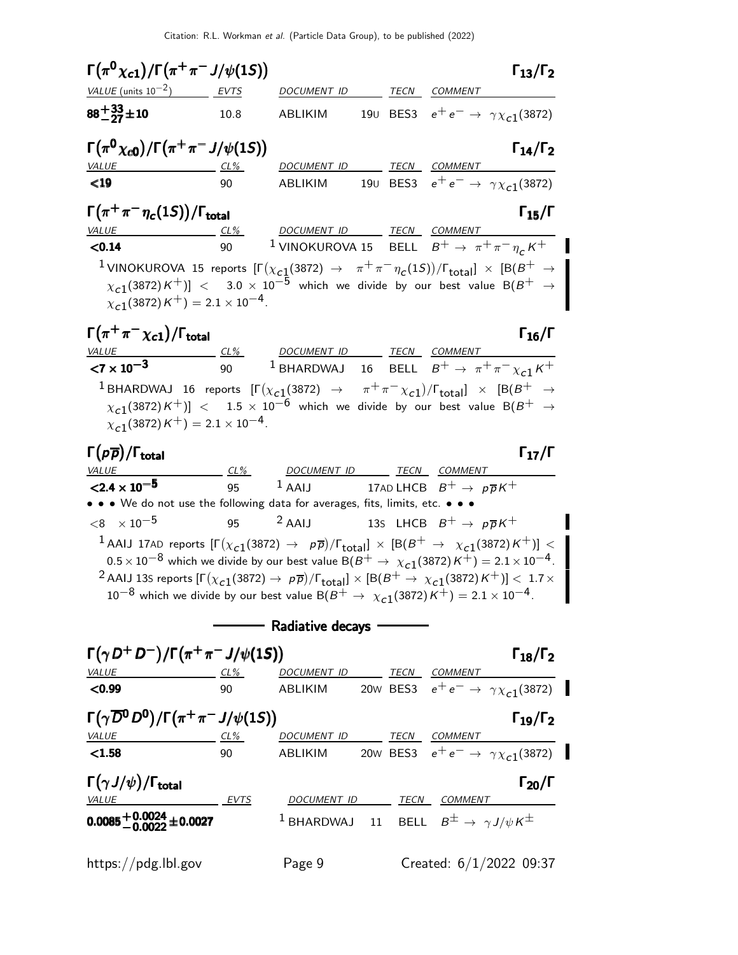| $\Gamma(\pi^0 \chi_{c1})/\Gamma(\pi^+ \pi^- J/\psi(1S))$                                                                                                                                                                                                                                                                                                                                                                                                                                                                                                |           |                                                                                                       |  |                                              | $\Gamma_{13}/\Gamma_2$ |
|---------------------------------------------------------------------------------------------------------------------------------------------------------------------------------------------------------------------------------------------------------------------------------------------------------------------------------------------------------------------------------------------------------------------------------------------------------------------------------------------------------------------------------------------------------|-----------|-------------------------------------------------------------------------------------------------------|--|----------------------------------------------|------------------------|
| VALUE (units $10^{-2}$ )                                                                                                                                                                                                                                                                                                                                                                                                                                                                                                                                | EVTS      | DOCUMENT ID                                                                                           |  | TECN COMMENT                                 |                        |
| $88 + \frac{33}{27} + 10$                                                                                                                                                                                                                                                                                                                                                                                                                                                                                                                               | 10.8      | ABLIKIM                                                                                               |  | 190 BES3 $e^+e^- \to \gamma \chi_{c1}(3872)$ |                        |
| $\Gamma(\pi^0 \chi_{c0})/\Gamma(\pi^+ \pi^- J/\psi(1S))$                                                                                                                                                                                                                                                                                                                                                                                                                                                                                                |           |                                                                                                       |  |                                              | $\Gamma_{14}/\Gamma_2$ |
| <b>VALUE</b>                                                                                                                                                                                                                                                                                                                                                                                                                                                                                                                                            | 90        | DOCUMENT ID TECN COMMENT                                                                              |  |                                              |                        |
| $\leq$ 19                                                                                                                                                                                                                                                                                                                                                                                                                                                                                                                                               |           | ABLIKIM 190 BES3 $e^+e^- \rightarrow \gamma \chi_{c1}(3872)$                                          |  |                                              |                        |
| $\Gamma(\pi^+\pi^-\eta_c(1S))/\Gamma_{\rm total}$                                                                                                                                                                                                                                                                                                                                                                                                                                                                                                       |           | DOCUMENT ID TECN COMMENT                                                                              |  |                                              | $\Gamma_{15}/\Gamma$   |
| <b>VALUE</b><br>$CL\%$<br>< 0.14                                                                                                                                                                                                                                                                                                                                                                                                                                                                                                                        | 90        | <sup>1</sup> VINOKUROVA 15 BELL $B^+ \rightarrow \pi^+ \pi^- \eta_c K^+$                              |  |                                              |                        |
| $^1$ VINOKUROVA 15 reports $[\Gamma(\chi_{c1}(3872) \to~\pi^+\pi^-\eta_c(1S))/\Gamma_{\rm total}]\,\times\,[{\rm B}(B^+\to \top)$<br>$\chi_{c1}(3872)K^+)] < 3.0 \times 10^{-5}$ which we divide by our best value B $(B^+ \rightarrow B)$<br>$\chi_{c1}(3872) K^{+}$ ) = 2.1 × 10 <sup>-4</sup> .                                                                                                                                                                                                                                                      |           |                                                                                                       |  |                                              |                        |
| $\Gamma(\pi^+\pi^-\chi_{\bf c1})/\Gamma_{\bf total}$                                                                                                                                                                                                                                                                                                                                                                                                                                                                                                    |           |                                                                                                       |  |                                              | $\Gamma_{16}/\Gamma$   |
| <u>VALUE</u><br>${1 \times 10^{-3}}$                                                                                                                                                                                                                                                                                                                                                                                                                                                                                                                    | CL%<br>90 | DOCUMENT ID TECN COMMENT<br><sup>1</sup> BHARDWAJ 16 BELL $B^+ \rightarrow \pi^+ \pi^- \chi_{c1} K^+$ |  |                                              |                        |
|                                                                                                                                                                                                                                                                                                                                                                                                                                                                                                                                                         |           |                                                                                                       |  |                                              |                        |
| $^1$ BHARDWAJ 16 reports $[\Gamma(\chi_{\bf c1}(3872) \ \rightarrow \ \ \pi^+\pi^-\chi_{\bf c1})/\Gamma_{\bf total}]\ \times\ [B(B^+\ \rightarrow$<br>$\chi_{\rm c1}(3872)\,{\rm K}^+)]\ < \phantom{1}1.5\,\times\,10^{-6}$ which we divide by our best value B $(B^+\to\chi_{\rm c1}(3872)\,{\rm K}^+)$<br>$\chi_{c1}(3872)K^+$ ) = 2.1 × 10 <sup>-4</sup> .                                                                                                                                                                                           |           |                                                                                                       |  |                                              |                        |
| $\Gamma(p\overline{p})/\Gamma_{\rm total}$                                                                                                                                                                                                                                                                                                                                                                                                                                                                                                              |           |                                                                                                       |  |                                              | $\Gamma_{17}/\Gamma$   |
| VA <u>LUE</u><br>$\langle 2.4 \times 10^{-5} \rangle$                                                                                                                                                                                                                                                                                                                                                                                                                                                                                                   | 95        | <u>CL% DOCUMENT ID TECN COMMENT</u><br>$1$ AAIJ                                                       |  | 17AD LHCB $B^+ \rightarrow p\overline{p}K^+$ |                        |
| • • We do not use the following data for averages, fits, limits, etc. • • •                                                                                                                                                                                                                                                                                                                                                                                                                                                                             |           |                                                                                                       |  |                                              |                        |
| $<$ 8 $\times$ 10 $^{-5}$                                                                                                                                                                                                                                                                                                                                                                                                                                                                                                                               |           | 95 $^2$ AAIJ 13S LHCB $B^+ \rightarrow p\overline{p}K^+$                                              |  |                                              |                        |
| $^1$ AAIJ 17AD reports $[\Gamma(\chi_{c1}(3872) \to \; \rho\overline{\rho})/\Gamma_{\rm total}]\times[{\rm B}(B^+ \to \; \chi_{c1}(3872)K^+)] < 0$<br>$0.5 \times 10^{-8}$ which we divide by our best value B( $B^+ \rightarrow \chi_{c1}(3872)K^+$ ) = $2.1 \times 10^{-4}$ .<br><sup>2</sup> AAIJ 13S reports $[\Gamma(\chi_{c1}(3872) \to p\overline{p})/\Gamma_{\text{total}}] \times [B(B^+ \to \chi_{c1}(3872)K^+)] < 1.7 \times$<br>$10^{-8}$ which we divide by our best value B $(B^+ \rightarrow \chi_{c1}(3872)K^+) = 2.1 \times 10^{-4}$ . |           |                                                                                                       |  |                                              |                        |
|                                                                                                                                                                                                                                                                                                                                                                                                                                                                                                                                                         |           | Radiative decays <b>wases</b>                                                                         |  |                                              |                        |
| $\Gamma(\gamma D^+ D^-)/\Gamma(\pi^+ \pi^- J/\psi(1S))$                                                                                                                                                                                                                                                                                                                                                                                                                                                                                                 |           |                                                                                                       |  |                                              | $\Gamma_{18}/\Gamma_2$ |
| VALUE CL% DOCUMENT ID TECN COMMENT<br><b>CO.99</b> 90 ABLIKIM 20W BES3 $e^+e^- \rightarrow \gamma \chi_{c1}(3872)$                                                                                                                                                                                                                                                                                                                                                                                                                                      |           |                                                                                                       |  |                                              |                        |
|                                                                                                                                                                                                                                                                                                                                                                                                                                                                                                                                                         |           |                                                                                                       |  |                                              |                        |
| $\Gamma(\gamma \overline{D}^0 D^0)/\Gamma(\pi^+\pi^-J/\psi(1S))$<br><u>VALUE CL% DOCUMENT ID TECN COMMENT</u>                                                                                                                                                                                                                                                                                                                                                                                                                                           |           |                                                                                                       |  |                                              | $\Gamma_{19}/\Gamma_2$ |
| < 1.58                                                                                                                                                                                                                                                                                                                                                                                                                                                                                                                                                  |           | 90 ABLIKIM 20w BES3 $e^+e^- \rightarrow \gamma \chi_{c1}(3872)$                                       |  |                                              |                        |
| $\Gamma(\gamma J/\psi)/\Gamma_{\rm total}$                                                                                                                                                                                                                                                                                                                                                                                                                                                                                                              |           |                                                                                                       |  |                                              | $\Gamma_{20}/\Gamma$   |
| VALUE EVTS                                                                                                                                                                                                                                                                                                                                                                                                                                                                                                                                              |           | DOCUMENT ID TECN COMMENT                                                                              |  |                                              |                        |
| $0.0085 + 0.0024 + 0.0027$                                                                                                                                                                                                                                                                                                                                                                                                                                                                                                                              |           | <sup>1</sup> BHARDWAJ 11 BELL $B^{\pm} \rightarrow \gamma J/\psi K^{\pm}$                             |  |                                              |                        |
| $\frac{h}{\text{https://pdg.lbl.gov}}$                                                                                                                                                                                                                                                                                                                                                                                                                                                                                                                  |           | Page 9                                                                                                |  | Created: $6/1/2022$ 09:37                    |                        |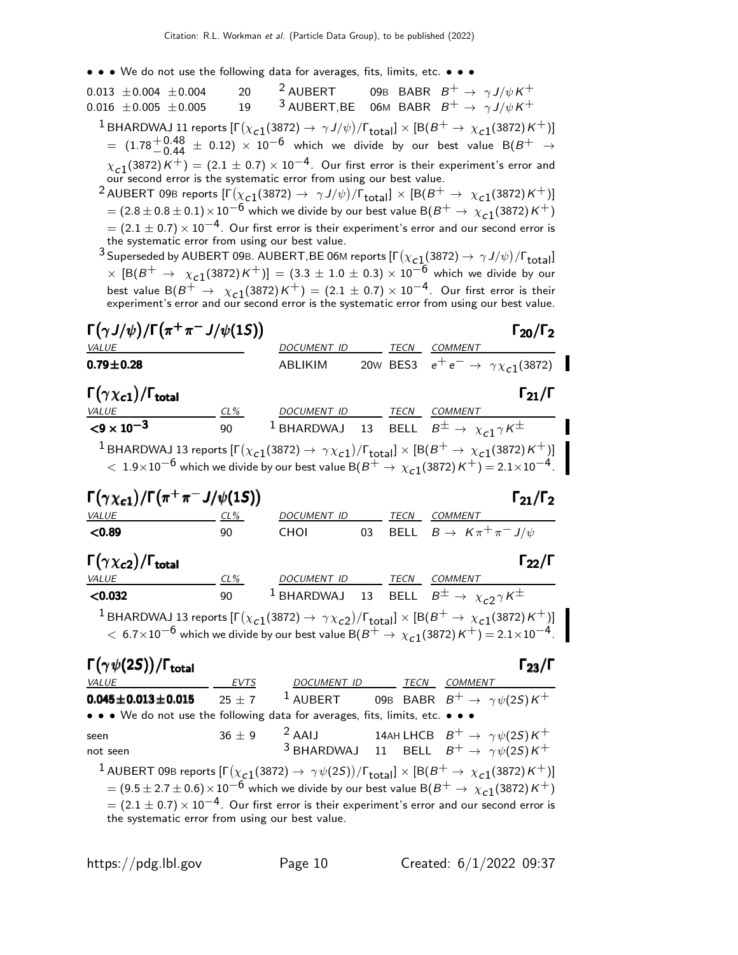• • • We do not use the following data for averages, fits, limits, etc. • • •

| $0.013 \pm 0.004 \pm 0.004$<br>$0.016 \pm 0.005 \pm 0.005$                                                                                                                                                                                                                                                     | 20<br>19    | <sup>2</sup> AUBERT 09B BABR $B^+ \rightarrow \gamma J/\psi K^+$<br><sup>3</sup> AUBERT, BE 06M BABR $B^+ \rightarrow \gamma J/\psi K^+$ |    |  |                                                     |                                              |
|----------------------------------------------------------------------------------------------------------------------------------------------------------------------------------------------------------------------------------------------------------------------------------------------------------------|-------------|------------------------------------------------------------------------------------------------------------------------------------------|----|--|-----------------------------------------------------|----------------------------------------------|
| $^1$ BHARDWAJ 11 reports [Г $(\chi_{c1}(3872)\to\,\gamma\,J/\psi)/$ Г $_{\rm total}] \times$ [B $(B^+ \to \,\chi_{c1}(3872)\,$ K $^+)$ ]<br>$\mu = (1.78^{+0.48}_{-0.44} \pm 0.12) \times 10^{-6}$ which we divide by our best value B(B <sup>+</sup> $\rightarrow$                                            |             |                                                                                                                                          |    |  |                                                     |                                              |
| $\chi_{c1}(3872)K^{+}) = (2.1 \pm 0.7) \times 10^{-4}$ . Our first error is their experiment's error and our second error is the systematic error from using our best value.<br>$^2$ AUBERT 09B reports $[\Gamma(\chi_{c1}(3872) \to \gamma J/\psi)/\Gamma_{\rm total}]\times [B(B^+ \to \chi_{c1}(3872)K^+)]$ |             |                                                                                                                                          |    |  |                                                     |                                              |
| $\tau=(2.8\pm0.8\pm0.1)\times10^{-6}$ which we divide by our best value B $(B^+\to \chi_{c1}(3872)\,$ K $^+)$<br>$\sigma = (2.1 \pm 0.7) \times 10^{-4}$ . Our first error is their experiment's error and our second error is<br>the systematic error from using our best value.                              |             |                                                                                                                                          |    |  |                                                     |                                              |
| <sup>3</sup> Superseded by AUBERT 09B. AUBERT,BE 06M reports $[\Gamma(\chi_{c1}(3872) \to \gamma J/\psi)/\Gamma_{\rm total}]$                                                                                                                                                                                  |             |                                                                                                                                          |    |  |                                                     |                                              |
| $\times$ $[{\rm B}(B^+ \to \chi_{c1}(3872)K^+)] = (3.3 \pm 1.0 \pm 0.3) \times 10^{-6}$ which we divide by our<br>best value B( $B^+ \rightarrow \chi_{c1}(3872)K^+$ ) = (2.1 $\pm$ 0.7) $\times$ 10 <sup>-4</sup> . Our first error is their                                                                  |             |                                                                                                                                          |    |  |                                                     |                                              |
| experiment's error and our second error is the systematic error from using our best value.                                                                                                                                                                                                                     |             |                                                                                                                                          |    |  |                                                     |                                              |
| $\Gamma(\gamma J/\psi)/\Gamma(\pi^+\pi^-J/\psi(1S))$                                                                                                                                                                                                                                                           |             |                                                                                                                                          |    |  |                                                     | $\Gamma_{20}/\Gamma_2$                       |
| VALUE                                                                                                                                                                                                                                                                                                          |             | DOCUMENT ID                                                                                                                              |    |  | TECN COMMENT                                        |                                              |
| $0.79 \pm 0.28$                                                                                                                                                                                                                                                                                                |             | ABLIKIM                                                                                                                                  |    |  |                                                     | 20w BES3 $e^+e^- \to \gamma \chi_{c1}(3872)$ |
| $\Gamma(\gamma \chi_{c1})/\Gamma_{\rm total}$                                                                                                                                                                                                                                                                  | $CL\%$      | DOCUMENT ID TECN COMMENT                                                                                                                 |    |  |                                                     | $\Gamma_{21}/\Gamma$                         |
| ${<}9 \times 10^{-3}$                                                                                                                                                                                                                                                                                          | 90          | <sup>1</sup> BHARDWAJ 13 BELL $B^{\pm} \rightarrow \chi_{c1} \gamma K^{\pm}$                                                             |    |  |                                                     |                                              |
|                                                                                                                                                                                                                                                                                                                |             |                                                                                                                                          |    |  |                                                     |                                              |
| <sup>1</sup> BHARDWAJ 13 reports $[\Gamma(\chi_{c1}(3872) \to \gamma \chi_{c1})/\Gamma_{\text{total}}] \times [B(B^+ \to \chi_{c1}(3872)K^+)]$<br>$<\,1.9\times10^{-6}$ which we divide by our best value B $(B^+\to \chi_{c1}(3872)$ ${\sf K}^+)=$ 2.1 $\times10^{-4}$ . $^{-1}$                              |             |                                                                                                                                          |    |  |                                                     |                                              |
|                                                                                                                                                                                                                                                                                                                |             |                                                                                                                                          |    |  |                                                     |                                              |
| $\Gamma(\gamma \chi_{c1})/\Gamma(\pi^+\pi^-J/\psi(1S))$                                                                                                                                                                                                                                                        |             |                                                                                                                                          |    |  |                                                     | $\Gamma_{21}/\Gamma_2$                       |
| <i>VALUE</i>                                                                                                                                                                                                                                                                                                   | $CL\%$      | DOCUMENT ID                                                                                                                              |    |  | TECN COMMENT                                        |                                              |
| < 0.89                                                                                                                                                                                                                                                                                                         | 90          | <b>CHOI</b>                                                                                                                              | 03 |  | BELL $B \to K \pi^+ \pi^- J/\psi$                   |                                              |
| $\Gamma(\gamma \chi_{c2})/\Gamma_{\rm total}$                                                                                                                                                                                                                                                                  |             |                                                                                                                                          |    |  |                                                     | $\Gamma_{22}/\Gamma$                         |
| VALUE                                                                                                                                                                                                                                                                                                          | CL%         | DOCUMENT ID TECN COMMENT                                                                                                                 |    |  |                                                     |                                              |
| < 0.032                                                                                                                                                                                                                                                                                                        | 90          | $1$ BHARDWAJ 13                                                                                                                          |    |  | BELL $B^{\pm} \rightarrow \chi_{c2} \gamma K^{\pm}$ |                                              |
| $^1$ BHARDWAJ 13 reports [ $\Gamma(\chi_{c1}(3872) \to \gamma \chi_{c2})/\Gamma_{\text{total}}$ ] $\times$ [B( $B^+ \to \chi_{c1}(3872)K^+)$ ]<br>$<\,6.7\times10^{-6}$ which we divide by our best value B( $B^+\to \chi_{c1}(3872)\,$ K $^+)=$ 2.1 $\times10^{-4}$ .                                         |             |                                                                                                                                          |    |  |                                                     |                                              |
| $\Gamma(\gamma\psi(2S))/\Gamma_{\rm total}$                                                                                                                                                                                                                                                                    |             |                                                                                                                                          |    |  |                                                     | $\Gamma_{23}/\Gamma$                         |
| <i>VALUE</i>                                                                                                                                                                                                                                                                                                   | <b>EVTS</b> | DOCUMENT ID TECN COMMENT                                                                                                                 |    |  |                                                     |                                              |
| $0.045 \pm 0.013 \pm 0.015$                                                                                                                                                                                                                                                                                    | $25 + 7$    | 1 AUBERT 09B BABR $B^+ \rightarrow \gamma \psi(2S) K^+$                                                                                  |    |  |                                                     |                                              |
| • • • We do not use the following data for averages, fits, limits, etc. • • •                                                                                                                                                                                                                                  |             |                                                                                                                                          |    |  |                                                     |                                              |
| seen                                                                                                                                                                                                                                                                                                           | $36 \pm 9$  |                                                                                                                                          |    |  |                                                     |                                              |
| not seen                                                                                                                                                                                                                                                                                                       |             | <sup>2</sup> AAIJ 14AH LHCB $B^+ \rightarrow \gamma \psi(2S) K^+$<br><sup>3</sup> BHARDWAJ 11 BELL $B^+ \rightarrow \gamma \psi(2S) K^+$ |    |  |                                                     |                                              |
| $^1$ AUBERT 09B reports $[\Gamma(\chi_{c1}(3872) \to \gamma \psi(2S))/\Gamma_{\rm total}]\times [B(B^+ \to \chi_{c1}(3872)K^+)]$                                                                                                                                                                               |             |                                                                                                                                          |    |  |                                                     |                                              |
| $=$ $(9.5 \pm 2.7 \pm 0.6) \times 10^{-6}$ which we divide by our best value B( $B^+ \rightarrow \chi_{c1}(3872) K^+$ )<br>$= (2.1 \pm 0.7) \times 10^{-4}$ . Our first error is their experiment's error and our second error is                                                                              |             |                                                                                                                                          |    |  |                                                     |                                              |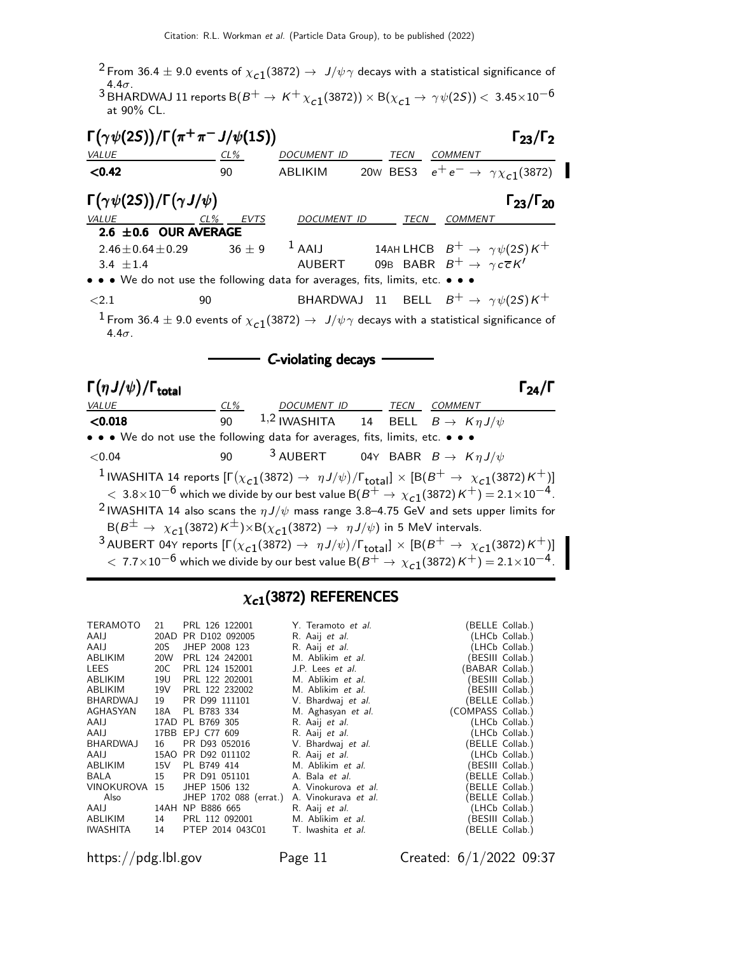<sup>2</sup> From 36.4  $\pm$  9.0 events of  $\chi_{c1}(3872) \rightarrow J/\psi \gamma$  decays with a statistical significance of  $^{\displaystyle 3}$ BHARDWAJ 11 reports B(B<sup>+</sup> → K<sup>+</sup>  $\chi_{c1}(\textrm{3872}))\times$  B( $\chi_{c1}$  → γψ(25)) < 3.45×10<sup>−6</sup><br>at 90% CL.

| $\Gamma(\gamma\psi(2S))/\Gamma(\pi^+\pi^-J/\psi(1S))$                                                                                                                                                                                                                 |     |                                                    |                                                        | $\Gamma_{23}/\Gamma_2$                               |
|-----------------------------------------------------------------------------------------------------------------------------------------------------------------------------------------------------------------------------------------------------------------------|-----|----------------------------------------------------|--------------------------------------------------------|------------------------------------------------------|
| VALUE                                                                                                                                                                                                                                                                 | CL% | DOCUMENT ID                                        | TECN COMMENT                                           |                                                      |
| < 0.42                                                                                                                                                                                                                                                                | 90  | <b>ABLIKIM</b>                                     |                                                        | 20w BES3 $e^+e^- \rightarrow \gamma \chi_{c1}(3872)$ |
| $\Gamma(\gamma\psi(2S))/\Gamma(\gamma J/\psi)$                                                                                                                                                                                                                        |     |                                                    |                                                        | $\Gamma_{23}/\Gamma_{20}$                            |
| $\underbrace{VALUE}_{2.6 \pm 0.6}$ OUR AVERAGE                                                                                                                                                                                                                        |     |                                                    | DOCUMENT ID TECN COMMENT                               |                                                      |
|                                                                                                                                                                                                                                                                       |     |                                                    |                                                        |                                                      |
| $2.46 \pm 0.64 \pm 0.29$                                                                                                                                                                                                                                              |     | $36 \pm 9$ <sup>1</sup> AAIJ                       | 14AH LHCB $B^+ \rightarrow \gamma \psi(2S) K^+$        |                                                      |
| 3.4 $\pm$ 1.4                                                                                                                                                                                                                                                         |     | AUBERT                                             | 09B BABR $B^+ \rightarrow \gamma c \overline{c} K'$    |                                                      |
| • • • We do not use the following data for averages, fits, limits, etc. • • •                                                                                                                                                                                         |     |                                                    |                                                        |                                                      |
| ${<}2.1$                                                                                                                                                                                                                                                              | 90  |                                                    | BHARDWAJ 11 BELL $B^+ \rightarrow \gamma \psi(2S) K^+$ |                                                      |
| $1$ From 36.4 $\pm$ 9.0 events of $\chi_{c1}(3872) \rightarrow J/\psi \gamma$ decays with a statistical significance of<br>$4.4\sigma$ .                                                                                                                              |     |                                                    |                                                        |                                                      |
|                                                                                                                                                                                                                                                                       |     | C-violating decays                                 |                                                        |                                                      |
| $\Gamma(\eta J/\psi)/\Gamma_{\rm total}$                                                                                                                                                                                                                              |     |                                                    |                                                        | $\Gamma_{24}/\Gamma$                                 |
| VALUE                                                                                                                                                                                                                                                                 |     | <u>CL% DOCUMENT ID TECN COMMENT</u>                |                                                        |                                                      |
| < 0.018                                                                                                                                                                                                                                                               | 90  | 1,2 IWASHITA 14 BELL $B \to K \eta J/\psi$         |                                                        |                                                      |
| • • • We do not use the following data for averages, fits, limits, etc. • • •                                                                                                                                                                                         |     |                                                    |                                                        |                                                      |
| < 0.04                                                                                                                                                                                                                                                                | 90  | <sup>3</sup> AUBERT 04Y BABR $B \to K \eta J/\psi$ |                                                        |                                                      |
| <sup>1</sup> IWASHITA 14 reports $[\Gamma(\chi_{c1}(3872) \to \eta J/\psi)/\Gamma_{total}] \times [B(B^+ \to \chi_{c1}(3872)K^+)]$<br>$< 3.8 \times 10^{-6}$ which we divide by our best value B( $B^+ \rightarrow \chi_{c1}(3872)$ K $^+ ) =$ 2.1 $\times 10^{-4}$ . |     |                                                    |                                                        |                                                      |
| <sup>2</sup> IWASHITA 14 also scans the $\eta J/\psi$ mass range 3.8–4.75 GeV and sets upper limits for<br>$B(B^{\pm} \to \chi_{c1}(3872) K^{\pm}) \times B(\chi_{c1}(3872) \to \eta J/\psi)$ in 5 MeV intervals.                                                     |     |                                                    |                                                        |                                                      |
| <sup>3</sup> AUBERT 04Y reports $[\Gamma(\chi_{c1}(3872) \to \eta J/\psi)/\Gamma_{\text{total}}] \times [B(B^+ \to \chi_{c1}(3872)K^+)]$                                                                                                                              |     |                                                    |                                                        |                                                      |

### $\chi_{c1}(3872)$  REFERENCES

| <b>TERAMOTO</b> | 21  | PRL 126 122001         | Y. Teramoto et al.        |                   | (BELLE Collab.)  |
|-----------------|-----|------------------------|---------------------------|-------------------|------------------|
| AAIJ            |     | 20AD PR D102 092005    | R. Aaij et al.            |                   | (LHCb Collab.)   |
| AAIJ            | 20S | JHEP 2008 123          | R. Aaij et al.            |                   | (LHCb Collab.)   |
| ABLIKIM         | 20W | PRL 124 242001         | M. Ablikim et al.         |                   | (BESIII Collab.) |
| LEES            | 20C | PRL 124 152001         | J.P. Lees <i>et al.</i>   | (BABAR Collab.)   |                  |
| ABLIKIM         | 19U | PRL 122 202001         | M. Ablikim et al.         |                   | (BESIII Collab.) |
| ABLIKIM         | 19V | PRL 122 232002         | M. Ablikim et al.         |                   | (BESIII Collab.) |
| BHARDWAJ        | 19  | PR D99 111101          | V. Bhardwaj et al.        |                   | (BELLE Collab.)  |
| AGHASYAN        | 18A | PL B783 334            | M. Aghasyan et al.        | (COMPASS Collab.) |                  |
| AAIJ            |     | 17AD PL B769 305       | R. Aaij et al.            |                   | (LHCb Collab.)   |
| AAIJ            |     | 17BB EPJ C77 609       | R. Aaij et al.            |                   | (LHCb Collab.)   |
| BHARDWAJ        | 16  | PR D93 052016          | V. Bhardwaj et al.        |                   | (BELLE Collab.)  |
| AAIJ            |     | 15AO PR D92 011102     | R. Aaij <i>et al.</i>     |                   | (LHCb Collab.)   |
| ABLIKIM         | 15V | PL B749 414            | M. Ablikim et al.         |                   | (BESIII Collab.) |
| BALA            | 15  | PR D91 051101          | A. Bala et al.            |                   | (BELLE Collab.)  |
| VINOKUROVA 15   |     | JHEP 1506 132          | A. Vinokurova et al.      |                   | (BELLE Collab.)  |
| Also            |     | JHEP 1702 088 (errat.) | A. Vinokurava et al.      |                   | (BELLE Collab.)  |
|                 |     | AAIJ 14AH NP B886 665  | R. Aaij et al.            |                   | (LHCb Collab.)   |
| ABLIKIM         | 14  | PRL 112 092001         | M. Ablikim et al.         |                   | (BESIII Collab.) |
| <b>IWASHITA</b> | 14  | PTEP 2014 043C01       | T. Iwashita <i>et al.</i> |                   | (BELLE Collab.)  |

https://pdg.lbl.gov Page 11 Created: 6/1/2022 09:37